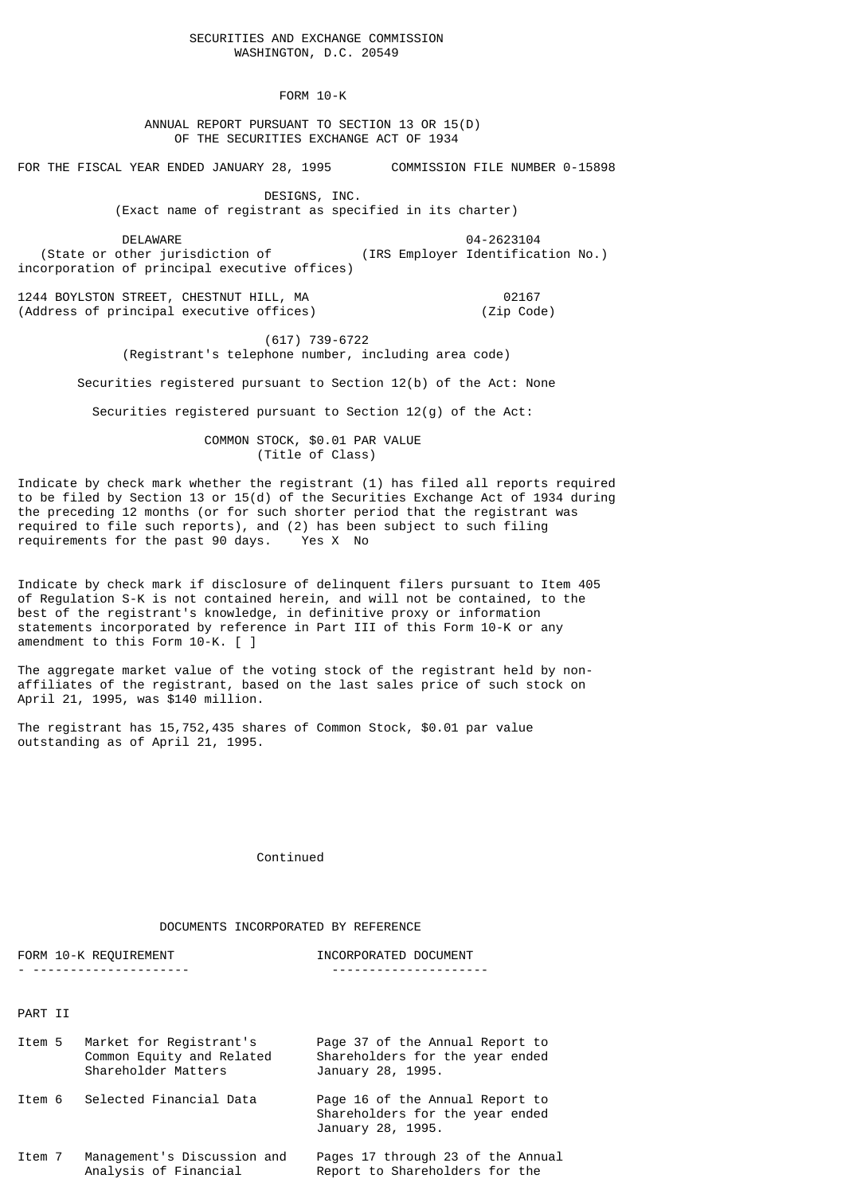FORM 10-K

 ANNUAL REPORT PURSUANT TO SECTION 13 OR 15(D) OF THE SECURITIES EXCHANGE ACT OF 1934

FOR THE FISCAL YEAR ENDED JANUARY 28, 1995 COMMISSION FILE NUMBER 0-15898

 DESIGNS, INC. (Exact name of registrant as specified in its charter)

 DELAWARE 04-2623104 (IRS Employer Identification No.) incorporation of principal executive offices)

1244 BOYLSTON STREET, CHESTNUT HILL, MA 02167 (Address of principal executive offices) (Zip Code)

 (617) 739-6722 (Registrant's telephone number, including area code)

Securities registered pursuant to Section 12(b) of the Act: None

Securities registered pursuant to Section 12(g) of the Act:

 COMMON STOCK, \$0.01 PAR VALUE (Title of Class)

Indicate by check mark whether the registrant (1) has filed all reports required to be filed by Section 13 or 15(d) of the Securities Exchange Act of 1934 during the preceding 12 months (or for such shorter period that the registrant was required to file such reports), and  $(2)$  has been subject to such filing requirements for the past 90 days. Yes  $X$  No requirements for the past 90 days.

Indicate by check mark if disclosure of delinquent filers pursuant to Item 405 of Regulation S-K is not contained herein, and will not be contained, to the best of the registrant's knowledge, in definitive proxy or information statements incorporated by reference in Part III of this Form 10-K or any amendment to this Form 10-K. [ ]

The aggregate market value of the voting stock of the registrant held by nonaffiliates of the registrant, based on the last sales price of such stock on April 21, 1995, was \$140 million.

The registrant has 15,752,435 shares of Common Stock, \$0.01 par value outstanding as of April 21, 1995.

Continued

DOCUMENTS INCORPORATED BY REFERENCE

FORM 10-K REQUIREMENT **INCORPORATED DOCUMENT** - --------------------- --------------------- PART II Item 5 Market for Registrant's Page 37 of the Annual Report to Shareholders for the year ended Shareholder Matters **January 28, 1995.** Item 6 Selected Financial Data Page 16 of the Annual Report to

Item 7 Management's Discussion and Pages 17 through 23 of the Annual Report to Shareholders for the

Shareholders for the year ended

January 28, 1995.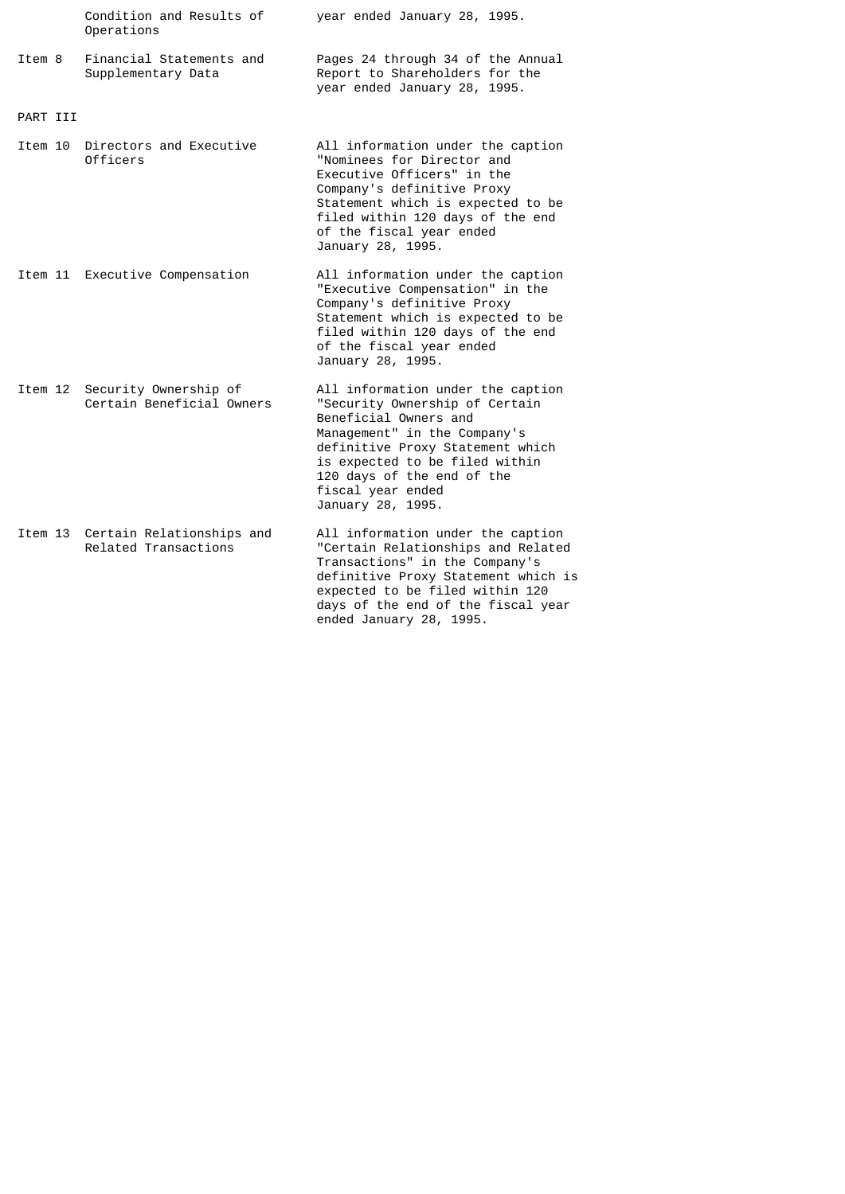|          | Condition and Results of<br>Operations                    | year ended January 28, 1995.                                                                                                                                                                                                                                               |
|----------|-----------------------------------------------------------|----------------------------------------------------------------------------------------------------------------------------------------------------------------------------------------------------------------------------------------------------------------------------|
| Item 8   | Financial Statements and<br>Supplementary Data            | Pages 24 through 34 of the Annual<br>Report to Shareholders for the<br>year ended January 28, 1995.                                                                                                                                                                        |
| PART III |                                                           |                                                                                                                                                                                                                                                                            |
| Item 10  | Directors and Executive<br>Officers                       | All information under the caption<br>"Nominees for Director and<br>Executive Officers" in the<br>Company's definitive Proxy<br>Statement which is expected to be<br>filed within 120 days of the end<br>of the fiscal year ended<br>January 28, 1995.                      |
|          | Item 11 Executive Compensation                            | All information under the caption<br>"Executive Compensation" in the<br>Company's definitive Proxy<br>Statement which is expected to be<br>filed within 120 days of the end<br>of the fiscal year ended<br>January 28, 1995.                                               |
| Item 12  | Security Ownership of<br>Certain Beneficial Owners        | All information under the caption<br>"Security Ownership of Certain<br>Beneficial Owners and<br>Management" in the Company's<br>definitive Proxy Statement which<br>is expected to be filed within<br>120 days of the end of the<br>fiscal year ended<br>January 28, 1995. |
|          | Item 13 Certain Relationships and<br>Related Transactions | All information under the caption<br>"Certain Relationships and Related<br>Transactions" in the Company's<br>definitive Proxy Statement which is<br>expected to be filed within 120                                                                                        |

days of the end of the fiscal year

ended January 28, 1995.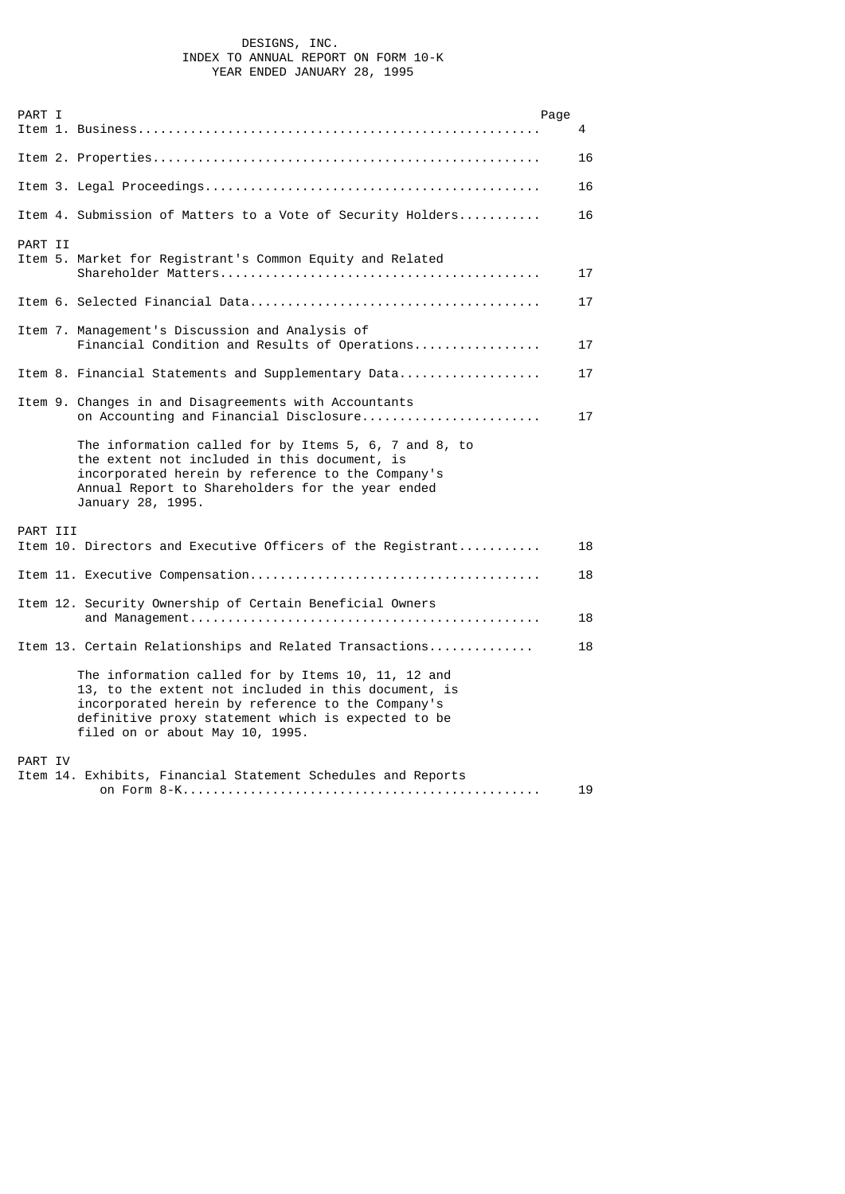## DESIGNS, INC. INDEX TO ANNUAL REPORT ON FORM 10-K YEAR ENDED JANUARY 28, 1995

| PART I   |                                                                                                                                                                                                                                                         | Page | 4  |
|----------|---------------------------------------------------------------------------------------------------------------------------------------------------------------------------------------------------------------------------------------------------------|------|----|
|          |                                                                                                                                                                                                                                                         |      | 16 |
|          |                                                                                                                                                                                                                                                         |      | 16 |
|          | Item 4. Submission of Matters to a Vote of Security Holders                                                                                                                                                                                             |      | 16 |
| PART II  | Item 5. Market for Registrant's Common Equity and Related                                                                                                                                                                                               |      | 17 |
|          |                                                                                                                                                                                                                                                         |      | 17 |
|          | Item 7. Management's Discussion and Analysis of<br>Financial Condition and Results of Operations                                                                                                                                                        |      | 17 |
|          | Item 8. Financial Statements and Supplementary Data                                                                                                                                                                                                     |      | 17 |
|          | Item 9. Changes in and Disagreements with Accountants<br>on Accounting and Financial Disclosure                                                                                                                                                         |      | 17 |
|          | The information called for by Items 5, 6, 7 and 8, to<br>the extent not included in this document, is<br>incorporated herein by reference to the Company's<br>Annual Report to Shareholders for the year ended<br>January 28, 1995.                     |      |    |
| PART III | Item 10. Directors and Executive Officers of the Registrant                                                                                                                                                                                             |      | 18 |
|          |                                                                                                                                                                                                                                                         |      |    |
|          |                                                                                                                                                                                                                                                         |      | 18 |
|          | Item 12. Security Ownership of Certain Beneficial Owners                                                                                                                                                                                                |      | 18 |
|          | Item 13. Certain Relationships and Related Transactions                                                                                                                                                                                                 |      | 18 |
|          | The information called for by Items 10, 11, 12 and<br>13, to the extent not included in this document, is<br>incorporated herein by reference to the Company's<br>definitive proxy statement which is expected to be<br>filed on or about May 10, 1995. |      |    |
| PART IV  | Item 14. Exhibits, Financial Statement Schedules and Reports                                                                                                                                                                                            |      |    |
|          |                                                                                                                                                                                                                                                         |      | 19 |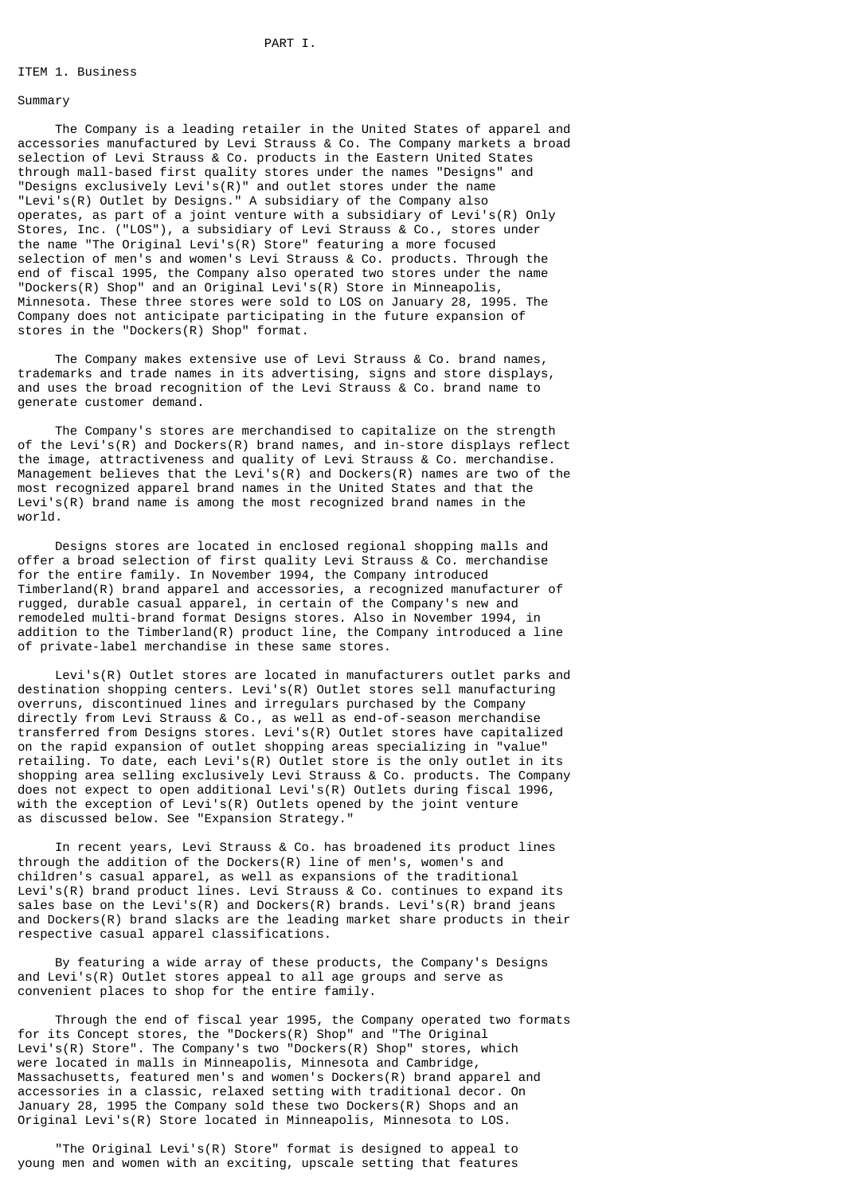## ITEM 1. Business

### Summary

 The Company is a leading retailer in the United States of apparel and accessories manufactured by Levi Strauss & Co. The Company markets a broad selection of Levi Strauss & Co. products in the Eastern United States through mall-based first quality stores under the names "Designs" and "Designs exclusively Levi's(R)" and outlet stores under the name "Levi's(R) Outlet by Designs." A subsidiary of the Company also operates, as part of a joint venture with a subsidiary of Levi's(R) Only Stores, Inc. ("LOS"), a subsidiary of Levi Strauss & Co., stores under the name "The Original Levi's(R) Store" featuring a more focused selection of men's and women's Levi Strauss & Co. products. Through the end of fiscal 1995, the Company also operated two stores under the name "Dockers(R) Shop" and an Original Levi's(R) Store in Minneapolis, Minnesota. These three stores were sold to LOS on January 28, 1995. The Company does not anticipate participating in the future expansion of stores in the "Dockers(R) Shop" format.

 The Company makes extensive use of Levi Strauss & Co. brand names, trademarks and trade names in its advertising, signs and store displays, and uses the broad recognition of the Levi Strauss & Co. brand name to generate customer demand.

 The Company's stores are merchandised to capitalize on the strength of the Levi's(R) and Dockers(R) brand names, and in-store displays reflect the image, attractiveness and quality of Levi Strauss & Co. merchandise. Management believes that the Levi's(R) and Dockers(R) names are two of the most recognized apparel brand names in the United States and that the Levi's(R) brand name is among the most recognized brand names in the world.

 Designs stores are located in enclosed regional shopping malls and offer a broad selection of first quality Levi Strauss & Co. merchandise for the entire family. In November 1994, the Company introduced Timberland(R) brand apparel and accessories, a recognized manufacturer of rugged, durable casual apparel, in certain of the Company's new and remodeled multi-brand format Designs stores. Also in November 1994, in addition to the Timberland(R) product line, the Company introduced a line of private-label merchandise in these same stores.

 Levi's(R) Outlet stores are located in manufacturers outlet parks and destination shopping centers. Levi's(R) Outlet stores sell manufacturing overruns, discontinued lines and irregulars purchased by the Company directly from Levi Strauss & Co., as well as end-of-season merchandise transferred from Designs stores. Levi's(R) Outlet stores have capitalized on the rapid expansion of outlet shopping areas specializing in "value" retailing. To date, each Levi's(R) Outlet store is the only outlet in its shopping area selling exclusively Levi Strauss & Co. products. The Company does not expect to open additional Levi's(R) Outlets during fiscal 1996, with the exception of Levi's(R) Outlets opened by the joint venture as discussed below. See "Expansion Strategy."

 In recent years, Levi Strauss & Co. has broadened its product lines through the addition of the Dockers(R) line of men's, women's and children's casual apparel, as well as expansions of the traditional Levi's(R) brand product lines. Levi Strauss & Co. continues to expand its sales base on the Levi's(R) and Dockers(R) brands. Levi's(R) brand jeans and Dockers(R) brand slacks are the leading market share products in their respective casual apparel classifications.

 By featuring a wide array of these products, the Company's Designs and Levi's(R) Outlet stores appeal to all age groups and serve as convenient places to shop for the entire family.

 Through the end of fiscal year 1995, the Company operated two formats for its Concept stores, the "Dockers(R) Shop" and "The Original Levi's(R) Store". The Company's two "Dockers(R) Shop" stores, which were located in malls in Minneapolis, Minnesota and Cambridge, Massachusetts, featured men's and women's Dockers(R) brand apparel and accessories in a classic, relaxed setting with traditional decor. On January 28, 1995 the Company sold these two Dockers(R) Shops and an Original Levi's(R) Store located in Minneapolis, Minnesota to LOS.

 "The Original Levi's(R) Store" format is designed to appeal to young men and women with an exciting, upscale setting that features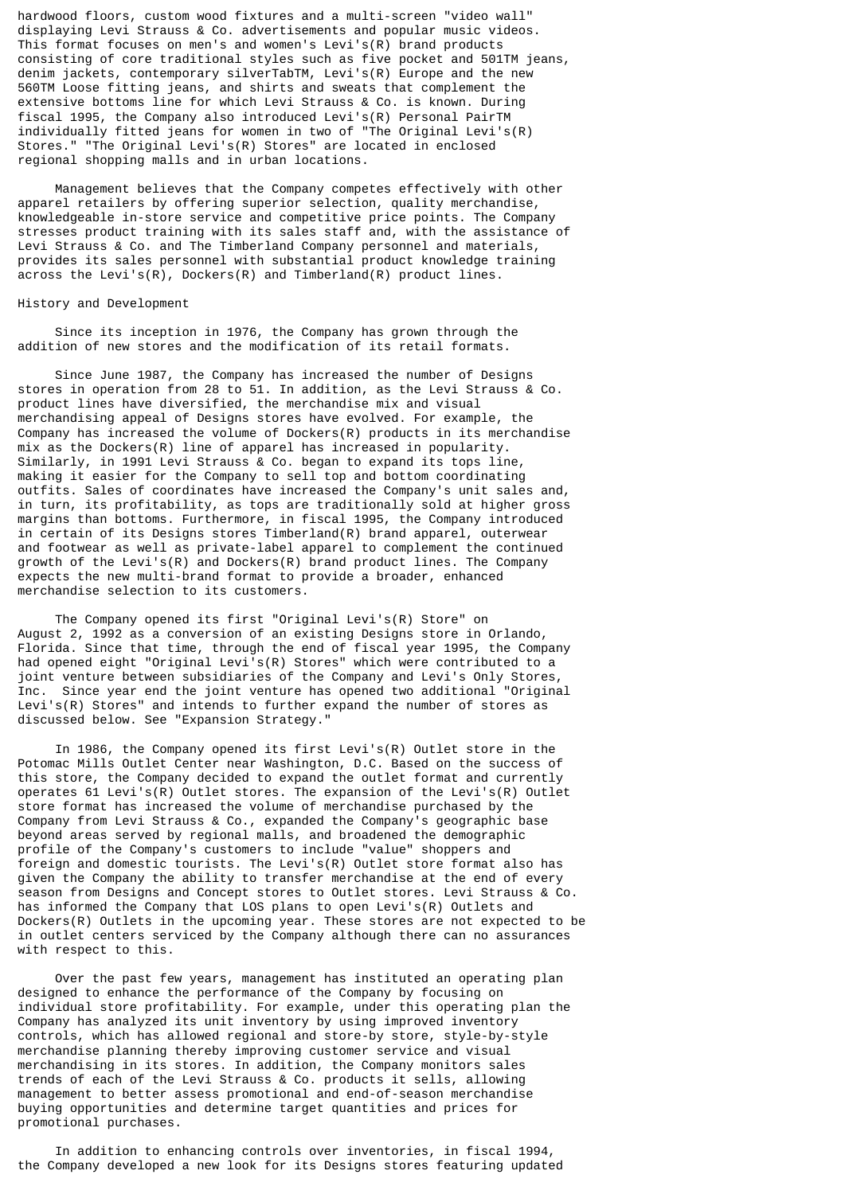hardwood floors, custom wood fixtures and a multi-screen "video wall" displaying Levi Strauss & Co. advertisements and popular music videos. This format focuses on men's and women's Levi's(R) brand products consisting of core traditional styles such as five pocket and 501TM jeans, denim jackets, contemporary silverTabTM, Levi's(R) Europe and the new 560TM Loose fitting jeans, and shirts and sweats that complement the extensive bottoms line for which Levi Strauss & Co. is known. During fiscal 1995, the Company also introduced Levi's(R) Personal PairTM individually fitted jeans for women in two of "The Original Levi's(R) Stores." "The Original Levi's(R) Stores" are located in enclosed regional shopping malls and in urban locations.

 Management believes that the Company competes effectively with other apparel retailers by offering superior selection, quality merchandise, knowledgeable in-store service and competitive price points. The Company stresses product training with its sales staff and, with the assistance of Levi Strauss & Co. and The Timberland Company personnel and materials, provides its sales personnel with substantial product knowledge training across the Levi's(R), Dockers(R) and Timberland(R) product lines.

## History and Development

 Since its inception in 1976, the Company has grown through the addition of new stores and the modification of its retail formats.

 Since June 1987, the Company has increased the number of Designs stores in operation from 28 to 51. In addition, as the Levi Strauss & Co. product lines have diversified, the merchandise mix and visual merchandising appeal of Designs stores have evolved. For example, the Company has increased the volume of Dockers(R) products in its merchandise mix as the Dockers(R) line of apparel has increased in popularity. Similarly, in 1991 Levi Strauss & Co. began to expand its tops line, making it easier for the Company to sell top and bottom coordinating outfits. Sales of coordinates have increased the Company's unit sales and, in turn, its profitability, as tops are traditionally sold at higher gross margins than bottoms. Furthermore, in fiscal 1995, the Company introduced in certain of its Designs stores Timberland(R) brand apparel, outerwear and footwear as well as private-label apparel to complement the continued growth of the Levi's(R) and Dockers(R) brand product lines. The Company expects the new multi-brand format to provide a broader, enhanced merchandise selection to its customers.

 The Company opened its first "Original Levi's(R) Store" on August 2, 1992 as a conversion of an existing Designs store in Orlando, Florida. Since that time, through the end of fiscal year 1995, the Company had opened eight "Original Levi's(R) Stores" which were contributed to a joint venture between subsidiaries of the Company and Levi's Only Stores, Inc. Since year end the joint venture has opened two additional "Original Levi's(R) Stores" and intends to further expand the number of stores as discussed below. See "Expansion Strategy."

 In 1986, the Company opened its first Levi's(R) Outlet store in the Potomac Mills Outlet Center near Washington, D.C. Based on the success of this store, the Company decided to expand the outlet format and currently operates 61 Levi's(R) Outlet stores. The expansion of the Levi's(R) Outlet store format has increased the volume of merchandise purchased by the Company from Levi Strauss & Co., expanded the Company's geographic base beyond areas served by regional malls, and broadened the demographic profile of the Company's customers to include "value" shoppers and foreign and domestic tourists. The Levi's(R) Outlet store format also has given the Company the ability to transfer merchandise at the end of every season from Designs and Concept stores to Outlet stores. Levi Strauss & Co. has informed the Company that LOS plans to open Levi's(R) Outlets and Dockers(R) Outlets in the upcoming year. These stores are not expected to be in outlet centers serviced by the Company although there can no assurances with respect to this.

 Over the past few years, management has instituted an operating plan designed to enhance the performance of the Company by focusing on individual store profitability. For example, under this operating plan the Company has analyzed its unit inventory by using improved inventory controls, which has allowed regional and store-by store, style-by-style merchandise planning thereby improving customer service and visual merchandising in its stores. In addition, the Company monitors sales trends of each of the Levi Strauss & Co. products it sells, allowing management to better assess promotional and end-of-season merchandise buying opportunities and determine target quantities and prices for promotional purchases.

 In addition to enhancing controls over inventories, in fiscal 1994, the Company developed a new look for its Designs stores featuring updated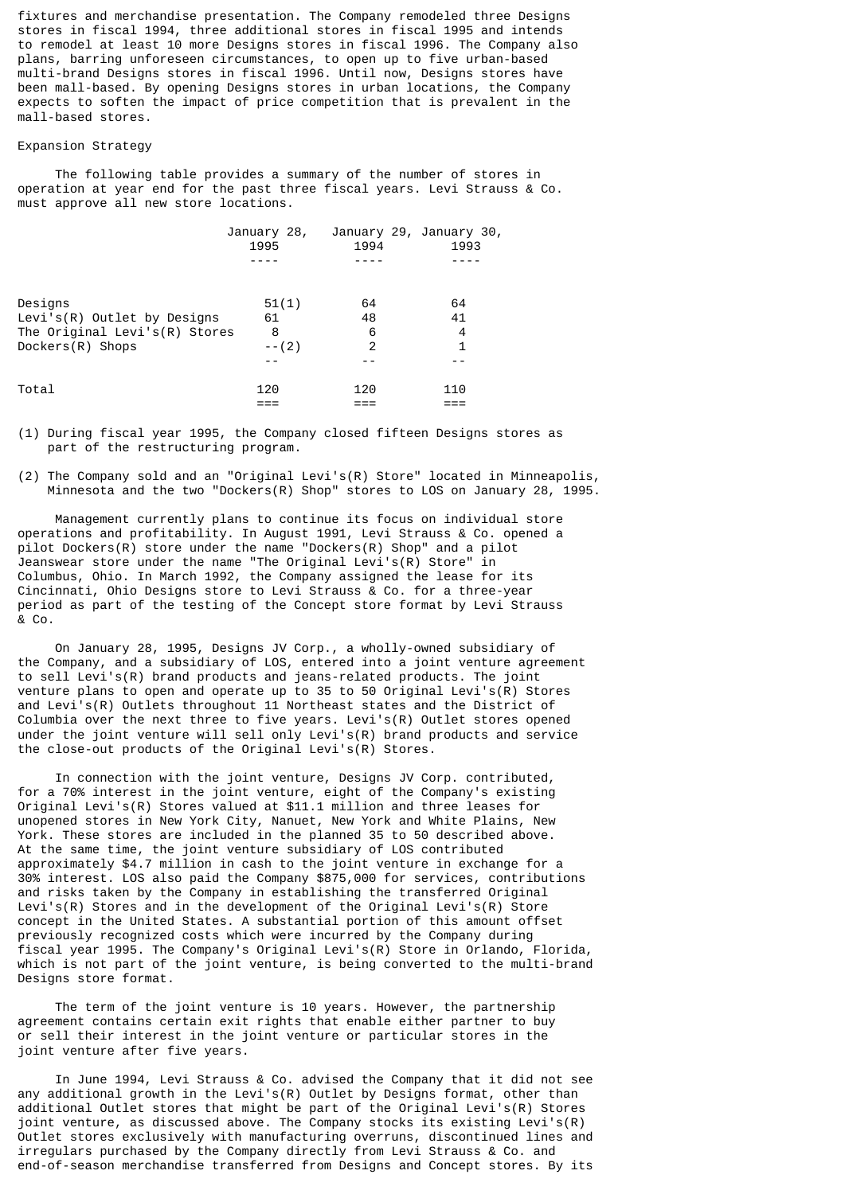fixtures and merchandise presentation. The Company remodeled three Designs stores in fiscal 1994, three additional stores in fiscal 1995 and intends to remodel at least 10 more Designs stores in fiscal 1996. The Company also plans, barring unforeseen circumstances, to open up to five urban-based multi-brand Designs stores in fiscal 1996. Until now, Designs stores have been mall-based. By opening Designs stores in urban locations, the Company expects to soften the impact of price competition that is prevalent in the mall-based stores.

## Expansion Strategy

 The following table provides a summary of the number of stores in operation at year end for the past three fiscal years. Levi Strauss & Co. must approve all new store locations.

|                                | January 28,<br>1995 | January 29, January 30,<br>1994 | 1993 |  |
|--------------------------------|---------------------|---------------------------------|------|--|
|                                |                     |                                 |      |  |
| Designs                        | 51(1)               | 64                              | 64   |  |
| Levi's $(R)$ Outlet by Designs | 61                  | 48                              | 41   |  |
| The Original Levi's(R) Stores  | 8                   | 6                               | 4    |  |
| Dockers(R) Shops               | $--(2)$             | 2                               | 1    |  |
|                                |                     |                                 |      |  |
| Total                          | 120                 | 120                             | 110  |  |
|                                |                     |                                 |      |  |

(1) During fiscal year 1995, the Company closed fifteen Designs stores as part of the restructuring program.

(2) The Company sold and an "Original Levi's(R) Store" located in Minneapolis, Minnesota and the two "Dockers(R) Shop" stores to LOS on January 28, 1995.

 Management currently plans to continue its focus on individual store operations and profitability. In August 1991, Levi Strauss & Co. opened a pilot Dockers(R) store under the name "Dockers(R) Shop" and a pilot Jeanswear store under the name "The Original Levi's(R) Store" in Columbus, Ohio. In March 1992, the Company assigned the lease for its Cincinnati, Ohio Designs store to Levi Strauss & Co. for a three-year period as part of the testing of the Concept store format by Levi Strauss & Co.

 On January 28, 1995, Designs JV Corp., a wholly-owned subsidiary of the Company, and a subsidiary of LOS, entered into a joint venture agreement to sell Levi's(R) brand products and jeans-related products. The joint venture plans to open and operate up to 35 to 50 Original Levi's(R) Stores and Levi's(R) Outlets throughout 11 Northeast states and the District of Columbia over the next three to five years. Levi's(R) Outlet stores opened under the joint venture will sell only Levi's(R) brand products and service the close-out products of the Original Levi's(R) Stores.

 In connection with the joint venture, Designs JV Corp. contributed, for a 70% interest in the joint venture, eight of the Company's existing Original Levi's(R) Stores valued at \$11.1 million and three leases for unopened stores in New York City, Nanuet, New York and White Plains, New York. These stores are included in the planned 35 to 50 described above. At the same time, the joint venture subsidiary of LOS contributed approximately \$4.7 million in cash to the joint venture in exchange for a 30% interest. LOS also paid the Company \$875,000 for services, contributions and risks taken by the Company in establishing the transferred Original Levi's(R) Stores and in the development of the Original Levi's(R) Store concept in the United States. A substantial portion of this amount offset previously recognized costs which were incurred by the Company during fiscal year 1995. The Company's Original Levi's(R) Store in Orlando, Florida, which is not part of the joint venture, is being converted to the multi-brand Designs store format.

The term of the joint venture is 10 years. However, the partnership agreement contains certain exit rights that enable either partner to buy or sell their interest in the joint venture or particular stores in the joint venture after five years.

 In June 1994, Levi Strauss & Co. advised the Company that it did not see any additional growth in the Levi's(R) Outlet by Designs format, other than additional Outlet stores that might be part of the Original Levi's(R) Stores joint venture, as discussed above. The Company stocks its existing Levi's(R) Outlet stores exclusively with manufacturing overruns, discontinued lines and irregulars purchased by the Company directly from Levi Strauss & Co. and end-of-season merchandise transferred from Designs and Concept stores. By its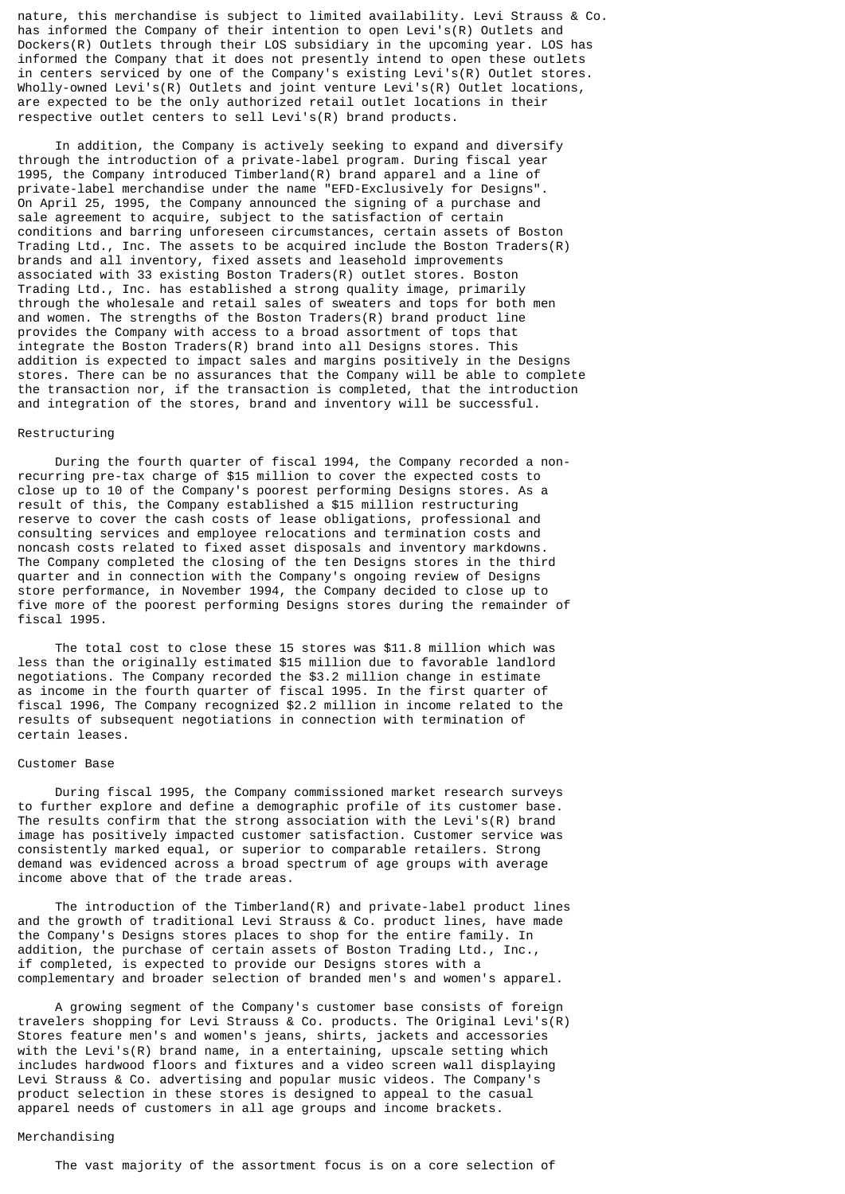nature, this merchandise is subject to limited availability. Levi Strauss & Co. has informed the Company of their intention to open Levi's(R) Outlets and Dockers(R) Outlets through their LOS subsidiary in the upcoming year. LOS has informed the Company that it does not presently intend to open these outlets in centers serviced by one of the Company's existing Levi's(R) Outlet stores. Wholly-owned Levi's(R) Outlets and joint venture Levi's(R) Outlet locations, are expected to be the only authorized retail outlet locations in their respective outlet centers to sell Levi's(R) brand products.

 In addition, the Company is actively seeking to expand and diversify through the introduction of a private-label program. During fiscal year 1995, the Company introduced Timberland(R) brand apparel and a line of private-label merchandise under the name "EFD-Exclusively for Designs". On April 25, 1995, the Company announced the signing of a purchase and sale agreement to acquire, subject to the satisfaction of certain conditions and barring unforeseen circumstances, certain assets of Boston Trading Ltd., Inc. The assets to be acquired include the Boston Traders(R) brands and all inventory, fixed assets and leasehold improvements associated with 33 existing Boston Traders(R) outlet stores. Boston Trading Ltd., Inc. has established a strong quality image, primarily through the wholesale and retail sales of sweaters and tops for both men and women. The strengths of the Boston Traders $(R)$  brand product line provides the Company with access to a broad assortment of tops that integrate the Boston Traders(R) brand into all Designs stores. This addition is expected to impact sales and margins positively in the Designs stores. There can be no assurances that the Company will be able to complete the transaction nor, if the transaction is completed, that the introduction and integration of the stores, brand and inventory will be successful.

### Restructuring

 During the fourth quarter of fiscal 1994, the Company recorded a nonrecurring pre-tax charge of \$15 million to cover the expected costs to close up to 10 of the Company's poorest performing Designs stores. As a result of this, the Company established a \$15 million restructuring reserve to cover the cash costs of lease obligations, professional and consulting services and employee relocations and termination costs and noncash costs related to fixed asset disposals and inventory markdowns. The Company completed the closing of the ten Designs stores in the third quarter and in connection with the Company's ongoing review of Designs store performance, in November 1994, the Company decided to close up to five more of the poorest performing Designs stores during the remainder of fiscal 1995.

 The total cost to close these 15 stores was \$11.8 million which was less than the originally estimated \$15 million due to favorable landlord negotiations. The Company recorded the \$3.2 million change in estimate as income in the fourth quarter of fiscal 1995. In the first quarter of fiscal 1996, The Company recognized \$2.2 million in income related to the results of subsequent negotiations in connection with termination of certain leases.

#### Customer Base

 During fiscal 1995, the Company commissioned market research surveys to further explore and define a demographic profile of its customer base. The results confirm that the strong association with the Levi's(R) brand image has positively impacted customer satisfaction. Customer service was consistently marked equal, or superior to comparable retailers. Strong demand was evidenced across a broad spectrum of age groups with average income above that of the trade areas.

The introduction of the  $Timberland(R)$  and  $private$ -label product lines and the growth of traditional Levi Strauss & Co. product lines, have made the Company's Designs stores places to shop for the entire family. In addition, the purchase of certain assets of Boston Trading Ltd., Inc., if completed, is expected to provide our Designs stores with a complementary and broader selection of branded men's and women's apparel.

 A growing segment of the Company's customer base consists of foreign travelers shopping for Levi Strauss & Co. products. The Original Levi's(R) Stores feature men's and women's jeans, shirts, jackets and accessories with the Levi's(R) brand name, in a entertaining, upscale setting which includes hardwood floors and fixtures and a video screen wall displaying Levi Strauss & Co. advertising and popular music videos. The Company's product selection in these stores is designed to appeal to the casual apparel needs of customers in all age groups and income brackets.

## Merchandising

The vast majority of the assortment focus is on a core selection of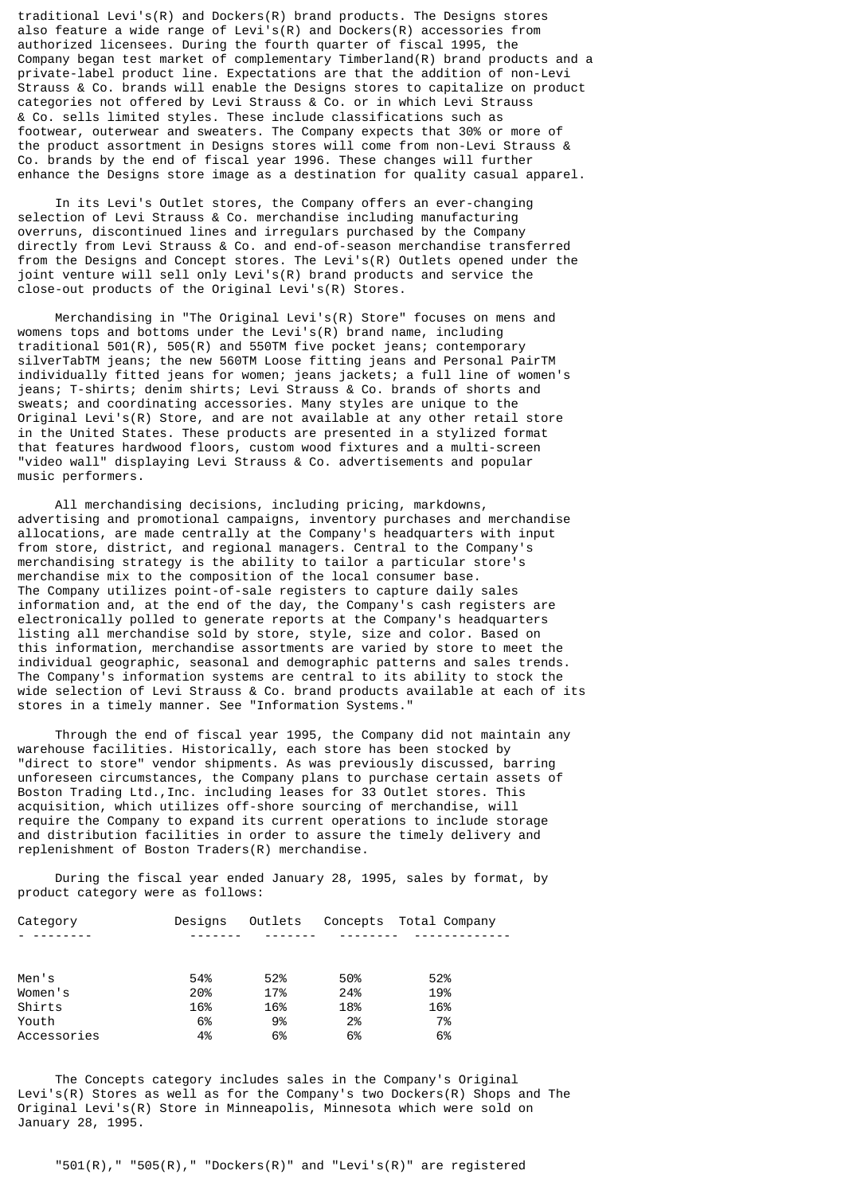traditional Levi's(R) and Dockers(R) brand products. The Designs stores also feature a wide range of Levi's(R) and Dockers(R) accessories from authorized licensees. During the fourth quarter of fiscal 1995, the Company began test market of complementary  $I$ imberland $(R)$  brand products and a private-label product line. Expectations are that the addition of non-Levi Strauss & Co. brands will enable the Designs stores to capitalize on product categories not offered by Levi Strauss & Co. or in which Levi Strauss & Co. sells limited styles. These include classifications such as footwear, outerwear and sweaters. The Company expects that 30% or more of the product assortment in Designs stores will come from non-Levi Strauss & Co. brands by the end of fiscal year 1996. These changes will further enhance the Designs store image as a destination for quality casual apparel.

 In its Levi's Outlet stores, the Company offers an ever-changing selection of Levi Strauss & Co. merchandise including manufacturing overruns, discontinued lines and irregulars purchased by the Company directly from Levi Strauss & Co. and end-of-season merchandise transferred from the Designs and Concept stores. The Levi's(R) Outlets opened under the joint venture will sell only Levi's(R) brand products and service the close-out products of the Original Levi's(R) Stores.

 Merchandising in "The Original Levi's(R) Store" focuses on mens and womens tops and bottoms under the Levi's(R) brand name, including traditional 501(R), 505(R) and 550TM five pocket jeans; contemporary silverTabTM jeans; the new 560TM Loose fitting jeans and Personal PairTM individually fitted jeans for women; jeans jackets; a full line of women's jeans; T-shirts; denim shirts; Levi Strauss & Co. brands of shorts and sweats; and coordinating accessories. Many styles are unique to the Original Levi's(R) Store, and are not available at any other retail store in the United States. These products are presented in a stylized format that features hardwood floors, custom wood fixtures and a multi-screen "video wall" displaying Levi Strauss & Co. advertisements and popular music performers.

 All merchandising decisions, including pricing, markdowns, advertising and promotional campaigns, inventory purchases and merchandise allocations, are made centrally at the Company's headquarters with input from store, district, and regional managers. Central to the Company's merchandising strategy is the ability to tailor a particular store's merchandise mix to the composition of the local consumer base. The Company utilizes point-of-sale registers to capture daily sales information and, at the end of the day, the Company's cash registers are electronically polled to generate reports at the Company's headquarters listing all merchandise sold by store, style, size and color. Based on this information, merchandise assortments are varied by store to meet the individual geographic, seasonal and demographic patterns and sales trends. The Company's information systems are central to its ability to stock the wide selection of Levi Strauss & Co. brand products available at each of its stores in a timely manner. See "Information Systems."

 Through the end of fiscal year 1995, the Company did not maintain any warehouse facilities. Historically, each store has been stocked by "direct to store" vendor shipments. As was previously discussed, barring unforeseen circumstances, the Company plans to purchase certain assets of Boston Trading Ltd.,Inc. including leases for 33 Outlet stores. This acquisition, which utilizes off-shore sourcing of merchandise, will require the Company to expand its current operations to include storage and distribution facilities in order to assure the timely delivery and replenishment of Boston Traders(R) merchandise.

 During the fiscal year ended January 28, 1995, sales by format, by product category were as follows:

| Category    | Designs | Outlets |     | Concepts Total Company |
|-------------|---------|---------|-----|------------------------|
|             |         |         |     |                        |
|             |         |         |     |                        |
| Men's       | 54%     | 52%     | 50% | 52%                    |
| Women's     | 20%     | 17%     | 24% | 19%                    |
| Shirts      | 16%     | 16%     | 18% | 16%                    |
| Youth       | 6%      | 9%      | 2%  | 7%                     |
| Accessories | 4%      | 6%      | 6%  | 6%                     |

 The Concepts category includes sales in the Company's Original Levi's(R) Stores as well as for the Company's two Dockers(R) Shops and The Original Levi's(R) Store in Minneapolis, Minnesota which were sold on January 28, 1995.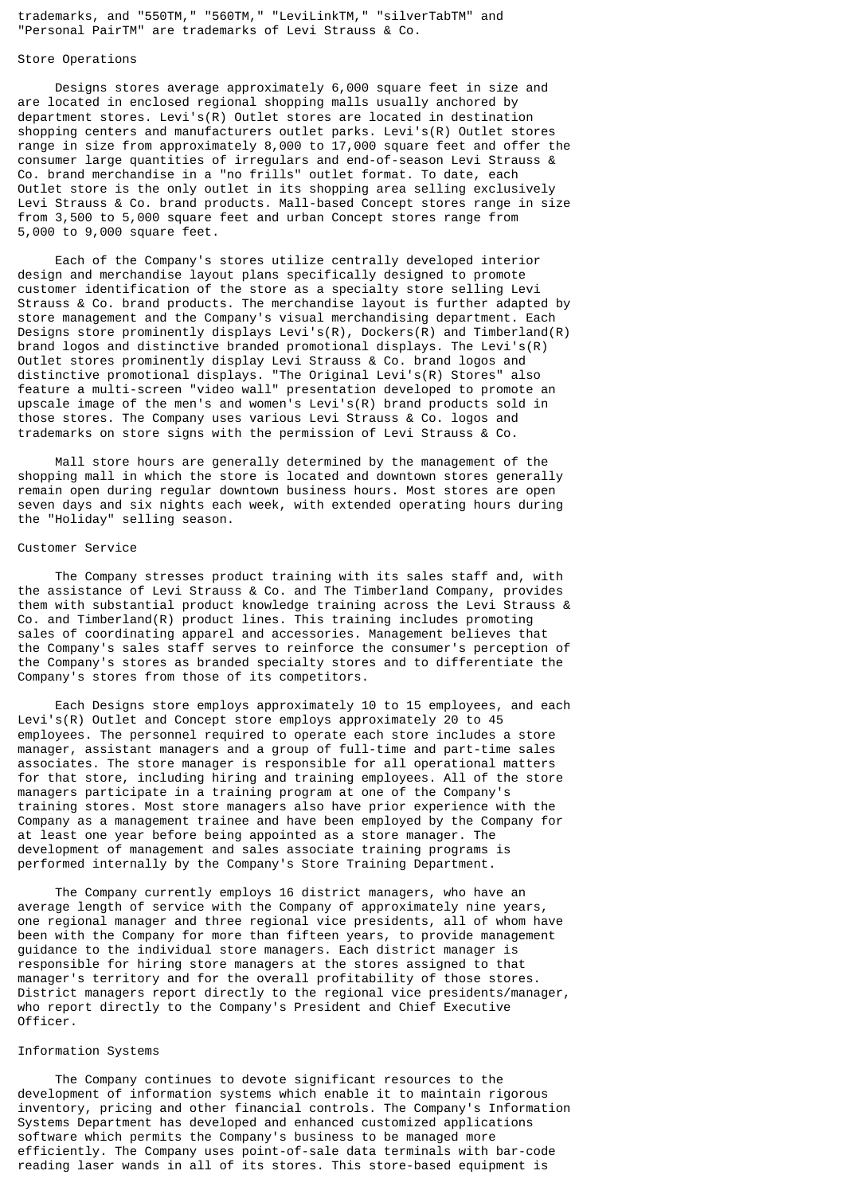trademarks, and "550TM," "560TM," "LeviLinkTM," "silverTabTM" and "Personal PairTM" are trademarks of Levi Strauss & Co.

### Store Operations

 Designs stores average approximately 6,000 square feet in size and are located in enclosed regional shopping malls usually anchored by department stores. Levi's(R) Outlet stores are located in destination shopping centers and manufacturers outlet parks. Levi's(R) Outlet stores range in size from approximately 8,000 to 17,000 square feet and offer the consumer large quantities of irregulars and end-of-season Levi Strauss & Co. brand merchandise in a "no frills" outlet format. To date, each Outlet store is the only outlet in its shopping area selling exclusively Levi Strauss & Co. brand products. Mall-based Concept stores range in size from 3,500 to 5,000 square feet and urban Concept stores range from 5,000 to 9,000 square feet.

 Each of the Company's stores utilize centrally developed interior design and merchandise layout plans specifically designed to promote customer identification of the store as a specialty store selling Levi Strauss & Co. brand products. The merchandise layout is further adapted by store management and the Company's visual merchandising department. Each Designs store prominently displays Levi's(R), Dockers(R) and Timberland(R) brand logos and distinctive branded promotional displays. The Levi's(R) Outlet stores prominently display Levi Strauss & Co. brand logos and distinctive promotional displays. "The Original Levi's(R) Stores" also feature a multi-screen "video wall" presentation developed to promote an upscale image of the men's and women's Levi's(R) brand products sold in those stores. The Company uses various Levi Strauss & Co. logos and trademarks on store signs with the permission of Levi Strauss & Co.

 Mall store hours are generally determined by the management of the shopping mall in which the store is located and downtown stores generally remain open during regular downtown business hours. Most stores are open seven days and six nights each week, with extended operating hours during the "Holiday" selling season.

#### Customer Service

 The Company stresses product training with its sales staff and, with the assistance of Levi Strauss & Co. and The Timberland Company, provides them with substantial product knowledge training across the Levi Strauss & Co. and Timberland(R) product lines. This training includes promoting sales of coordinating apparel and accessories. Management believes that the Company's sales staff serves to reinforce the consumer's perception of the Company's stores as branded specialty stores and to differentiate the Company's stores from those of its competitors.

 Each Designs store employs approximately 10 to 15 employees, and each Levi's(R) Outlet and Concept store employs approximately 20 to 45 employees. The personnel required to operate each store includes a store manager, assistant managers and a group of full-time and part-time sales associates. The store manager is responsible for all operational matters for that store, including hiring and training employees. All of the store managers participate in a training program at one of the Company's training stores. Most store managers also have prior experience with the Company as a management trainee and have been employed by the Company for at least one year before being appointed as a store manager. The development of management and sales associate training programs is performed internally by the Company's Store Training Department.

 The Company currently employs 16 district managers, who have an average length of service with the Company of approximately nine years, one regional manager and three regional vice presidents, all of whom have been with the Company for more than fifteen years, to provide management guidance to the individual store managers. Each district manager is responsible for hiring store managers at the stores assigned to that manager's territory and for the overall profitability of those stores. District managers report directly to the regional vice presidents/manager, who report directly to the Company's President and Chief Executive Officer.

## Information Systems

 The Company continues to devote significant resources to the development of information systems which enable it to maintain rigorous inventory, pricing and other financial controls. The Company's Information Systems Department has developed and enhanced customized applications software which permits the Company's business to be managed more efficiently. The Company uses point-of-sale data terminals with bar-code reading laser wands in all of its stores. This store-based equipment is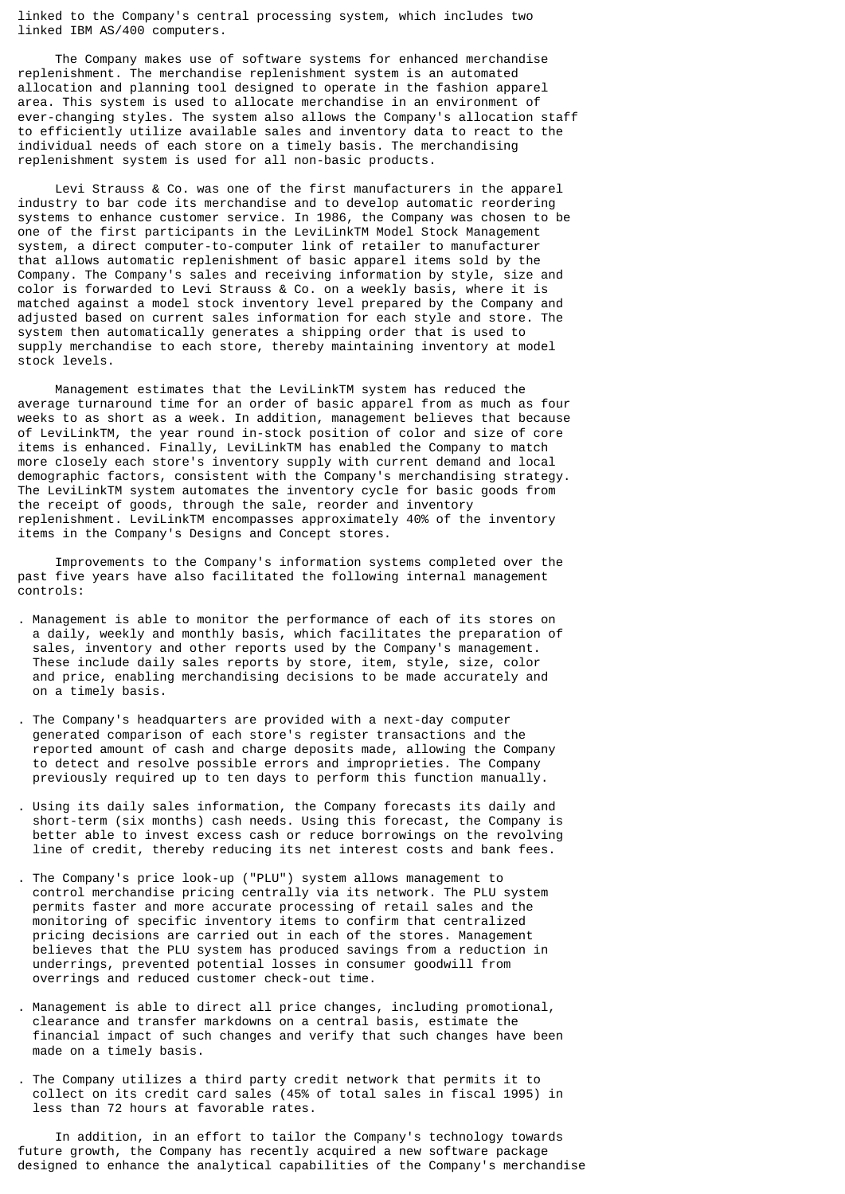linked to the Company's central processing system, which includes two linked IBM AS/400 computers.

 The Company makes use of software systems for enhanced merchandise replenishment. The merchandise replenishment system is an automated allocation and planning tool designed to operate in the fashion apparel area. This system is used to allocate merchandise in an environment of ever-changing styles. The system also allows the Company's allocation staff to efficiently utilize available sales and inventory data to react to the individual needs of each store on a timely basis. The merchandising replenishment system is used for all non-basic products.

 Levi Strauss & Co. was one of the first manufacturers in the apparel industry to bar code its merchandise and to develop automatic reordering systems to enhance customer service. In 1986, the Company was chosen to be one of the first participants in the LeviLinkTM Model Stock Management system, a direct computer-to-computer link of retailer to manufacturer that allows automatic replenishment of basic apparel items sold by the Company. The Company's sales and receiving information by style, size and color is forwarded to Levi Strauss & Co. on a weekly basis, where it is matched against a model stock inventory level prepared by the Company and adjusted based on current sales information for each style and store. The system then automatically generates a shipping order that is used to supply merchandise to each store, thereby maintaining inventory at model stock levels.

 Management estimates that the LeviLinkTM system has reduced the average turnaround time for an order of basic apparel from as much as four weeks to as short as a week. In addition, management believes that because of LeviLinkTM, the year round in-stock position of color and size of core items is enhanced. Finally, LeviLinkTM has enabled the Company to match more closely each store's inventory supply with current demand and local demographic factors, consistent with the Company's merchandising strategy. The LeviLinkTM system automates the inventory cycle for basic goods from the receipt of goods, through the sale, reorder and inventory replenishment. LeviLinkTM encompasses approximately 40% of the inventory items in the Company's Designs and Concept stores.

 Improvements to the Company's information systems completed over the past five years have also facilitated the following internal management controls:

- . Management is able to monitor the performance of each of its stores on a daily, weekly and monthly basis, which facilitates the preparation of sales, inventory and other reports used by the Company's management. These include daily sales reports by store, item, style, size, color and price, enabling merchandising decisions to be made accurately and on a timely basis.
- . The Company's headquarters are provided with a next-day computer generated comparison of each store's register transactions and the reported amount of cash and charge deposits made, allowing the Company to detect and resolve possible errors and improprieties. The Company previously required up to ten days to perform this function manually.
- . Using its daily sales information, the Company forecasts its daily and short-term (six months) cash needs. Using this forecast, the Company is better able to invest excess cash or reduce borrowings on the revolving line of credit, thereby reducing its net interest costs and bank fees.
- . The Company's price look-up ("PLU") system allows management to control merchandise pricing centrally via its network. The PLU system permits faster and more accurate processing of retail sales and the monitoring of specific inventory items to confirm that centralized pricing decisions are carried out in each of the stores. Management believes that the PLU system has produced savings from a reduction in underrings, prevented potential losses in consumer goodwill from overrings and reduced customer check-out time.
- . Management is able to direct all price changes, including promotional, clearance and transfer markdowns on a central basis, estimate the financial impact of such changes and verify that such changes have been made on a timely basis.
- . The Company utilizes a third party credit network that permits it to collect on its credit card sales (45% of total sales in fiscal 1995) in less than 72 hours at favorable rates.

 In addition, in an effort to tailor the Company's technology towards future growth, the Company has recently acquired a new software package designed to enhance the analytical capabilities of the Company's merchandise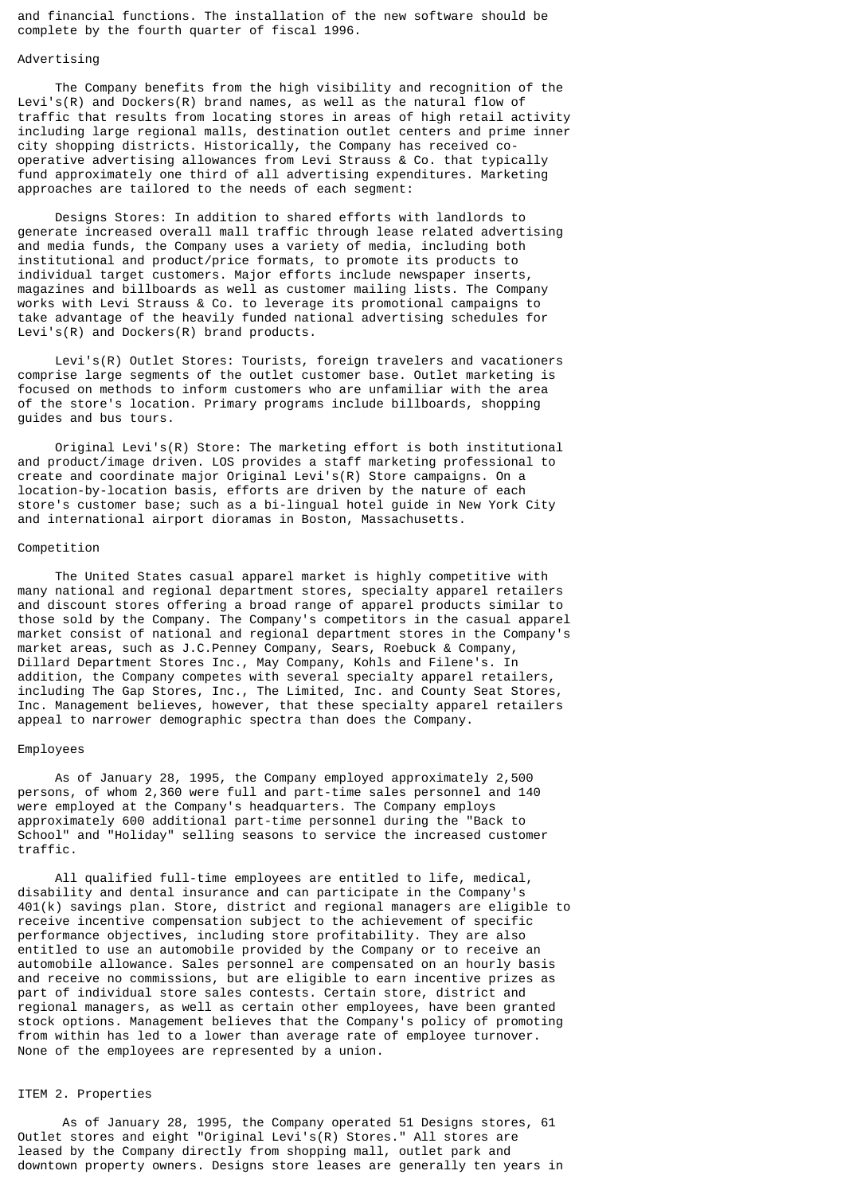and financial functions. The installation of the new software should be complete by the fourth quarter of fiscal 1996.

## Advertising

 The Company benefits from the high visibility and recognition of the Levi's(R) and Dockers(R) brand names, as well as the natural flow of traffic that results from locating stores in areas of high retail activity including large regional malls, destination outlet centers and prime inner city shopping districts. Historically, the Company has received cooperative advertising allowances from Levi Strauss & Co. that typically fund approximately one third of all advertising expenditures. Marketing approaches are tailored to the needs of each segment:

 Designs Stores: In addition to shared efforts with landlords to generate increased overall mall traffic through lease related advertising and media funds, the Company uses a variety of media, including both institutional and product/price formats, to promote its products to individual target customers. Major efforts include newspaper inserts, magazines and billboards as well as customer mailing lists. The Company works with Levi Strauss & Co. to leverage its promotional campaigns to take advantage of the heavily funded national advertising schedules for Levi's(R) and Dockers(R) brand products.

 Levi's(R) Outlet Stores: Tourists, foreign travelers and vacationers comprise large segments of the outlet customer base. Outlet marketing is focused on methods to inform customers who are unfamiliar with the area of the store's location. Primary programs include billboards, shopping guides and bus tours.

 Original Levi's(R) Store: The marketing effort is both institutional and product/image driven. LOS provides a staff marketing professional to create and coordinate major Original Levi's(R) Store campaigns. On a location-by-location basis, efforts are driven by the nature of each store's customer base; such as a bi-lingual hotel guide in New York City and international airport dioramas in Boston, Massachusetts.

#### Competition

 The United States casual apparel market is highly competitive with many national and regional department stores, specialty apparel retailers and discount stores offering a broad range of apparel products similar to those sold by the Company. The Company's competitors in the casual apparel market consist of national and regional department stores in the Company's market areas, such as J.C.Penney Company, Sears, Roebuck & Company, Dillard Department Stores Inc., May Company, Kohls and Filene's. In addition, the Company competes with several specialty apparel retailers, including The Gap Stores, Inc., The Limited, Inc. and County Seat Stores, Inc. Management believes, however, that these specialty apparel retailers appeal to narrower demographic spectra than does the Company.

#### Employees

 As of January 28, 1995, the Company employed approximately 2,500 persons, of whom 2,360 were full and part-time sales personnel and 140 were employed at the Company's headquarters. The Company employs approximately 600 additional part-time personnel during the "Back to School" and "Holiday" selling seasons to service the increased customer traffic.

 All qualified full-time employees are entitled to life, medical, disability and dental insurance and can participate in the Company's 401(k) savings plan. Store, district and regional managers are eligible to receive incentive compensation subject to the achievement of specific performance objectives, including store profitability. They are also entitled to use an automobile provided by the Company or to receive an automobile allowance. Sales personnel are compensated on an hourly basis and receive no commissions, but are eligible to earn incentive prizes as part of individual store sales contests. Certain store, district and regional managers, as well as certain other employees, have been granted stock options. Management believes that the Company's policy of promoting from within has led to a lower than average rate of employee turnover. None of the employees are represented by a union.

## ITEM 2. Properties

 As of January 28, 1995, the Company operated 51 Designs stores, 61 Outlet stores and eight "Original Levi's(R) Stores." All stores are leased by the Company directly from shopping mall, outlet park and downtown property owners. Designs store leases are generally ten years in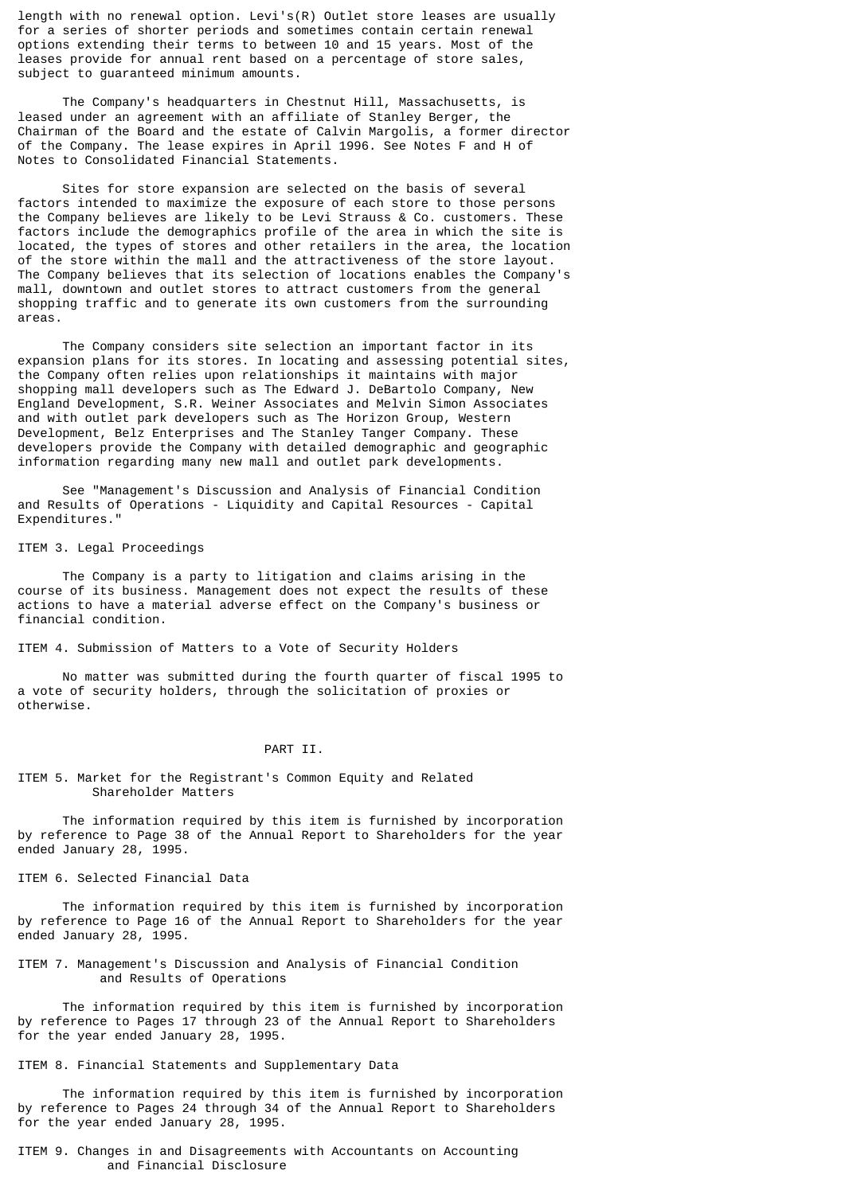length with no renewal option. Levi's(R) Outlet store leases are usually for a series of shorter periods and sometimes contain certain renewal options extending their terms to between 10 and 15 years. Most of the leases provide for annual rent based on a percentage of store sales, subject to guaranteed minimum amounts.

 The Company's headquarters in Chestnut Hill, Massachusetts, is leased under an agreement with an affiliate of Stanley Berger, the Chairman of the Board and the estate of Calvin Margolis, a former director of the Company. The lease expires in April 1996. See Notes F and H of Notes to Consolidated Financial Statements.

 Sites for store expansion are selected on the basis of several factors intended to maximize the exposure of each store to those persons the Company believes are likely to be Levi Strauss & Co. customers. These factors include the demographics profile of the area in which the site is located, the types of stores and other retailers in the area, the location of the store within the mall and the attractiveness of the store layout. The Company believes that its selection of locations enables the Company's mall, downtown and outlet stores to attract customers from the general shopping traffic and to generate its own customers from the surrounding areas.

 The Company considers site selection an important factor in its expansion plans for its stores. In locating and assessing potential sites, the Company often relies upon relationships it maintains with major shopping mall developers such as The Edward J. DeBartolo Company, New England Development, S.R. Weiner Associates and Melvin Simon Associates and with outlet park developers such as The Horizon Group, Western Development, Belz Enterprises and The Stanley Tanger Company. These developers provide the Company with detailed demographic and geographic information regarding many new mall and outlet park developments.

 See "Management's Discussion and Analysis of Financial Condition and Results of Operations - Liquidity and Capital Resources - Capital Expenditures."

#### ITEM 3. Legal Proceedings

 The Company is a party to litigation and claims arising in the course of its business. Management does not expect the results of these actions to have a material adverse effect on the Company's business or financial condition.

ITEM 4. Submission of Matters to a Vote of Security Holders

 No matter was submitted during the fourth quarter of fiscal 1995 to a vote of security holders, through the solicitation of proxies or otherwise.

### PART II.

### ITEM 5. Market for the Registrant's Common Equity and Related Shareholder Matters

 The information required by this item is furnished by incorporation by reference to Page 38 of the Annual Report to Shareholders for the year ended January 28, 1995.

### ITEM 6. Selected Financial Data

 The information required by this item is furnished by incorporation by reference to Page 16 of the Annual Report to Shareholders for the year ended January 28, 1995.

## ITEM 7. Management's Discussion and Analysis of Financial Condition and Results of Operations

 The information required by this item is furnished by incorporation by reference to Pages 17 through 23 of the Annual Report to Shareholders for the year ended January 28, 1995.

ITEM 8. Financial Statements and Supplementary Data

 The information required by this item is furnished by incorporation by reference to Pages 24 through 34 of the Annual Report to Shareholders for the year ended January 28, 1995.

ITEM 9. Changes in and Disagreements with Accountants on Accounting and Financial Disclosure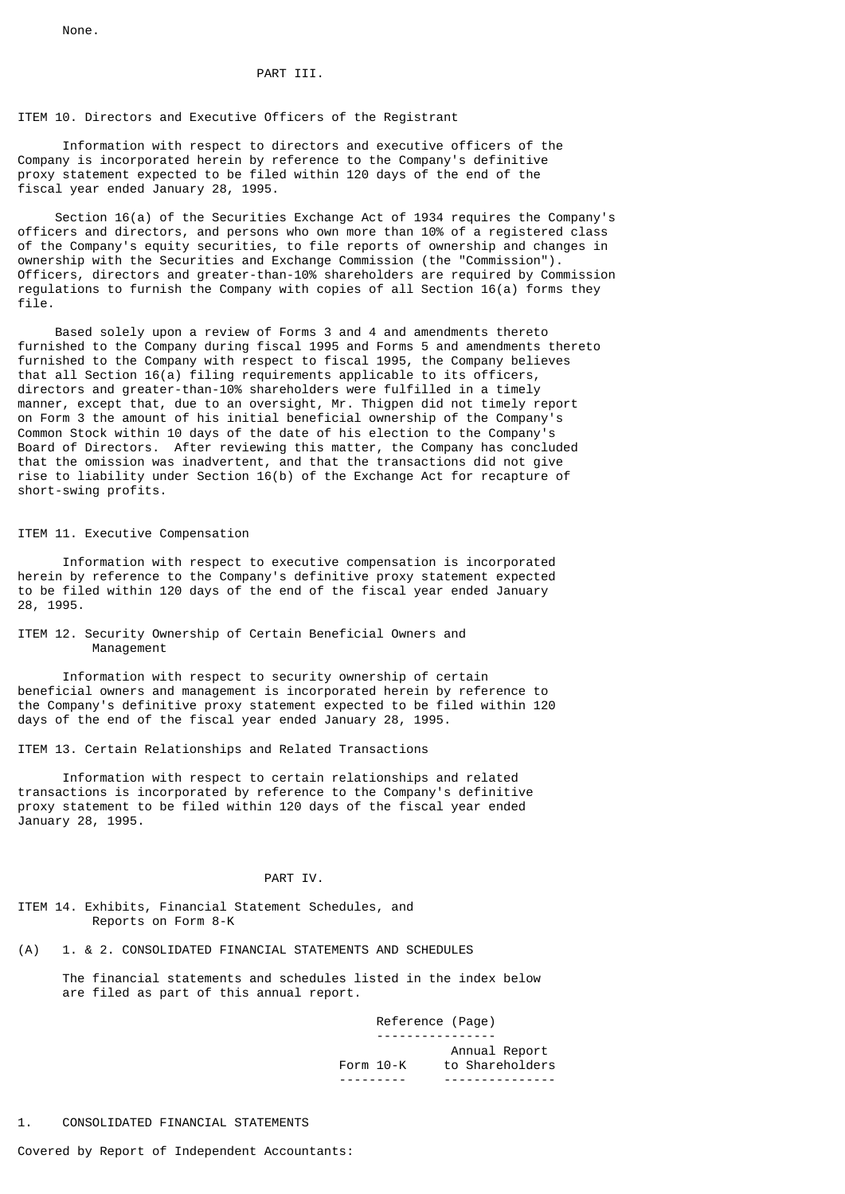None.

# PART TIT.

# ITEM 10. Directors and Executive Officers of the Registrant

 Information with respect to directors and executive officers of the Company is incorporated herein by reference to the Company's definitive proxy statement expected to be filed within 120 days of the end of the fiscal year ended January 28, 1995.

 Section 16(a) of the Securities Exchange Act of 1934 requires the Company's officers and directors, and persons who own more than 10% of a registered class of the Company's equity securities, to file reports of ownership and changes in ownership with the Securities and Exchange Commission (the "Commission"). Officers, directors and greater-than-10% shareholders are required by Commission regulations to furnish the Company with copies of all Section 16(a) forms they file.

 Based solely upon a review of Forms 3 and 4 and amendments thereto furnished to the Company during fiscal 1995 and Forms 5 and amendments thereto furnished to the Company with respect to fiscal 1995, the Company believes that all Section 16(a) filing requirements applicable to its officers, directors and greater-than-10% shareholders were fulfilled in a timely manner, except that, due to an oversight, Mr. Thigpen did not timely report on Form 3 the amount of his initial beneficial ownership of the Company's Common Stock within 10 days of the date of his election to the Company's Board of Directors. After reviewing this matter, the Company has concluded that the omission was inadvertent, and that the transactions did not give rise to liability under Section 16(b) of the Exchange Act for recapture of short-swing profits.

## ITEM 11. Executive Compensation

 Information with respect to executive compensation is incorporated herein by reference to the Company's definitive proxy statement expected to be filed within 120 days of the end of the fiscal year ended January 28, 1995.

## ITEM 12. Security Ownership of Certain Beneficial Owners and Management

 Information with respect to security ownership of certain beneficial owners and management is incorporated herein by reference to the Company's definitive proxy statement expected to be filed within 120 days of the end of the fiscal year ended January 28, 1995.

ITEM 13. Certain Relationships and Related Transactions

 Information with respect to certain relationships and related transactions is incorporated by reference to the Company's definitive proxy statement to be filed within 120 days of the fiscal year ended January 28, 1995.

# PART IV.

ITEM 14. Exhibits, Financial Statement Schedules, and Reports on Form 8-K

(A) 1. & 2. CONSOLIDATED FINANCIAL STATEMENTS AND SCHEDULES

 The financial statements and schedules listed in the index below are filed as part of this annual report.

> Reference (Page) ----------------

 Annual Report Form 10-K to Shareholders --------- ---------------

## 1. CONSOLIDATED FINANCIAL STATEMENTS

Covered by Report of Independent Accountants: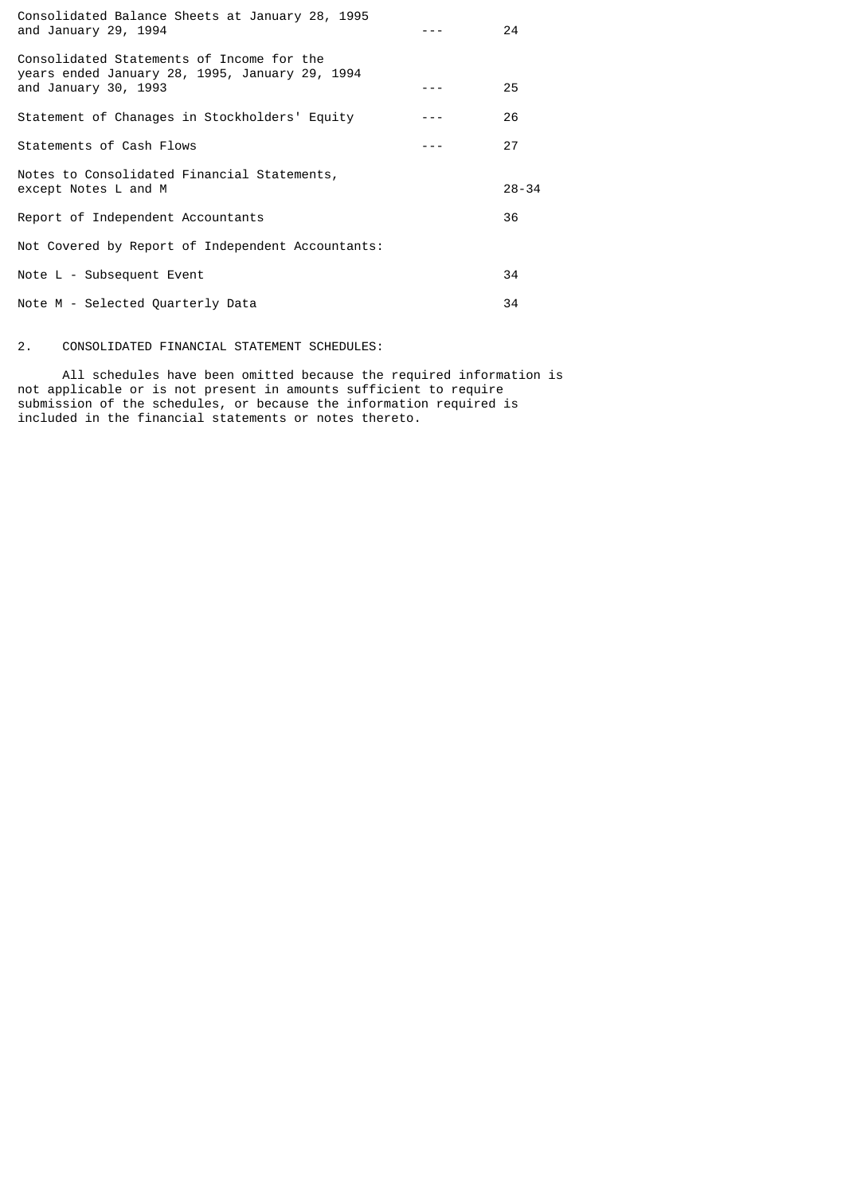| 24        |
|-----------|
| 25        |
| 26        |
| 27        |
| $28 - 34$ |
| 36        |
|           |
| 34        |
| 34        |
|           |

# 2. CONSOLIDATED FINANCIAL STATEMENT SCHEDULES:

 All schedules have been omitted because the required information is not applicable or is not present in amounts sufficient to require submission of the schedules, or because the information required is included in the financial statements or notes thereto.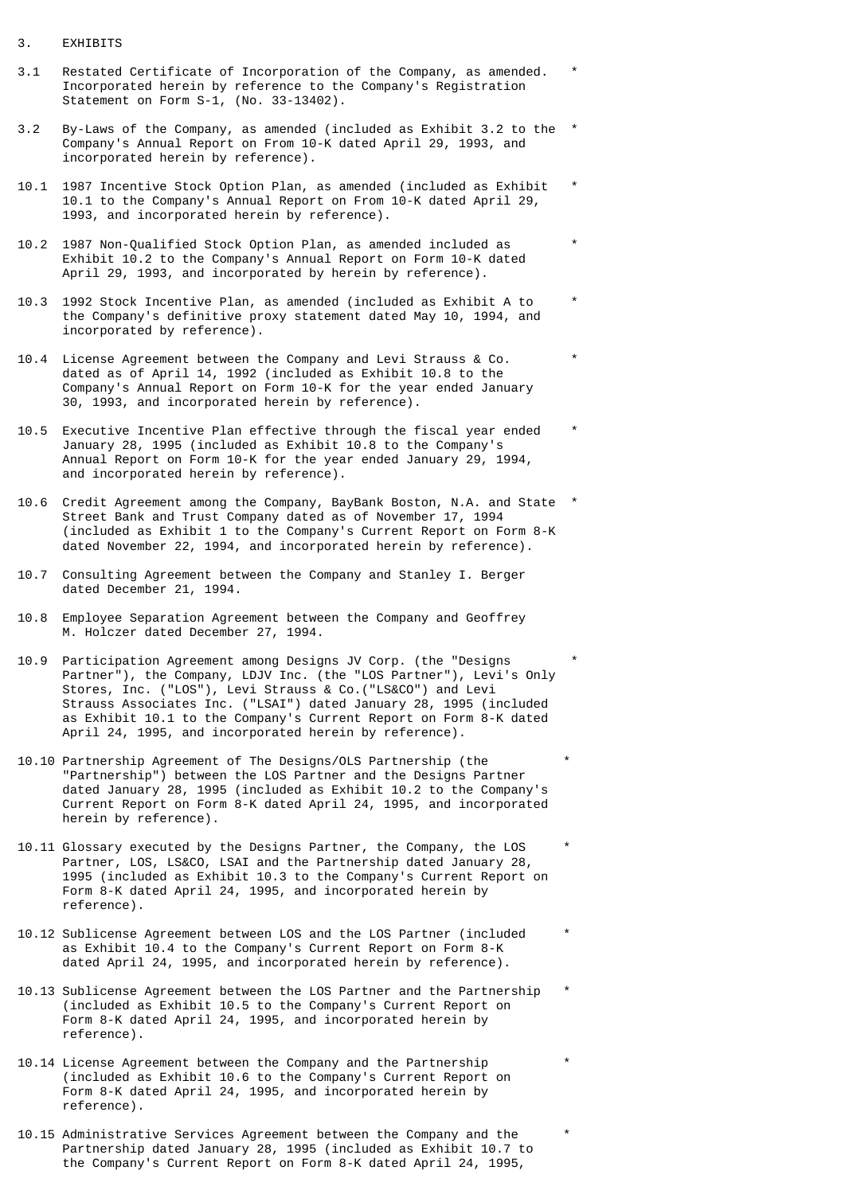## 3. EXHIBITS

- 3.1 Restated Certificate of Incorporation of the Company, as amended. \* Incorporated herein by reference to the Company's Registration Statement on Form S-1, (No. 33-13402).
- 3.2 By-Laws of the Company, as amended (included as Exhibit 3.2 to the \* Company's Annual Report on From 10-K dated April 29, 1993, and incorporated herein by reference).
- 10.1 1987 Incentive Stock Option Plan, as amended (included as Exhibit \* 10.1 to the Company's Annual Report on From 10-K dated April 29, 1993, and incorporated herein by reference).
- 10.2 1987 Non-Qualified Stock Option Plan, as amended included as \* Exhibit 10.2 to the Company's Annual Report on Form 10-K dated April 29, 1993, and incorporated by herein by reference).
- 10.3 1992 Stock Incentive Plan, as amended (included as Exhibit A to \* the Company's definitive proxy statement dated May 10, 1994, and incorporated by reference).
- 10.4 License Agreement between the Company and Levi Strauss & Co. \* dated as of April 14, 1992 (included as Exhibit 10.8 to the Company's Annual Report on Form 10-K for the year ended January 30, 1993, and incorporated herein by reference).
- 10.5 Executive Incentive Plan effective through the fiscal year ended \* January 28, 1995 (included as Exhibit 10.8 to the Company's Annual Report on Form 10-K for the year ended January 29, 1994, and incorporated herein by reference).
- 10.6 Credit Agreement among the Company, BayBank Boston, N.A. and State \* Street Bank and Trust Company dated as of November 17, 1994 (included as Exhibit 1 to the Company's Current Report on Form 8-K dated November 22, 1994, and incorporated herein by reference).
- 10.7 Consulting Agreement between the Company and Stanley I. Berger dated December 21, 1994.
- 10.8 Employee Separation Agreement between the Company and Geoffrey M. Holczer dated December 27, 1994.
- 10.9 Participation Agreement among Designs JV Corp. (the "Designs \* Partner"), the Company, LDJV Inc. (the "LOS Partner"), Levi's Only Stores, Inc. ("LOS"), Levi Strauss & Co.("LS&CO") and Levi Strauss Associates Inc. ("LSAI") dated January 28, 1995 (included as Exhibit 10.1 to the Company's Current Report on Form 8-K dated April 24, 1995, and incorporated herein by reference).
- 10.10 Partnership Agreement of The Designs/OLS Partnership (the \* "Partnership") between the LOS Partner and the Designs Partner dated January 28, 1995 (included as Exhibit 10.2 to the Company's Current Report on Form 8-K dated April 24, 1995, and incorporated herein by reference).
- 10.11 Glossary executed by the Designs Partner, the Company, the LOS \* Partner, LOS, LS&CO, LSAI and the Partnership dated January 28, 1995 (included as Exhibit 10.3 to the Company's Current Report on Form 8-K dated April 24, 1995, and incorporated herein by reference).
- 10.12 Sublicense Agreement between LOS and the LOS Partner (included \* as Exhibit 10.4 to the Company's Current Report on Form 8-K dated April 24, 1995, and incorporated herein by reference).
- 10.13 Sublicense Agreement between the LOS Partner and the Partnership \* (included as Exhibit 10.5 to the Company's Current Report on Form 8-K dated April 24, 1995, and incorporated herein by reference).
- 10.14 License Agreement between the Company and the Partnership \* (included as Exhibit 10.6 to the Company's Current Report on Form 8-K dated April 24, 1995, and incorporated herein by reference).
- 10.15 Administrative Services Agreement between the Company and the \* Partnership dated January 28, 1995 (included as Exhibit 10.7 to the Company's Current Report on Form 8-K dated April 24, 1995,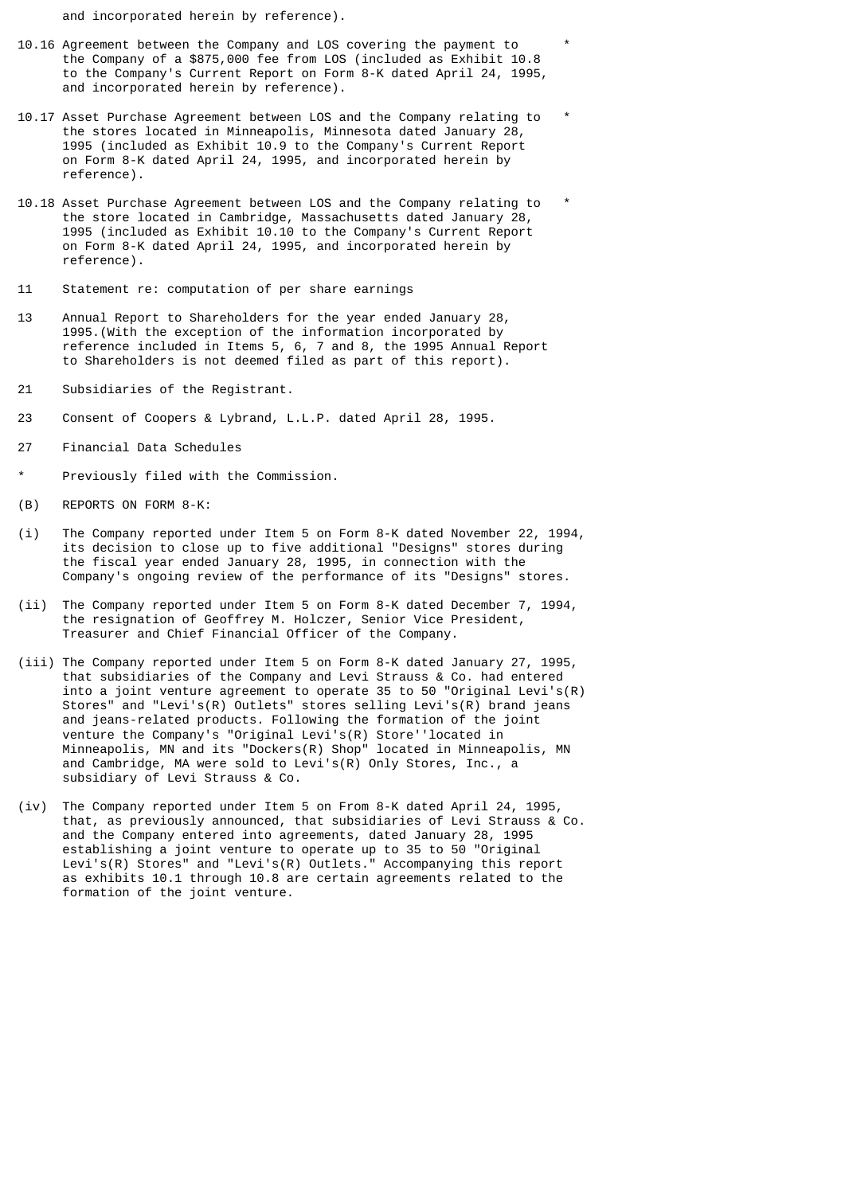and incorporated herein by reference).

- 10.16 Agreement between the Company and LOS covering the payment to \* the Company of a \$875,000 fee from LOS (included as Exhibit 10.8 to the Company's Current Report on Form 8-K dated April 24, 1995, and incorporated herein by reference).
- 10.17 Asset Purchase Agreement between LOS and the Company relating to \* the stores located in Minneapolis, Minnesota dated January 28, 1995 (included as Exhibit 10.9 to the Company's Current Report on Form 8-K dated April 24, 1995, and incorporated herein by reference).
- 10.18 Asset Purchase Agreement between LOS and the Company relating to \* the store located in Cambridge, Massachusetts dated January 28, 1995 (included as Exhibit 10.10 to the Company's Current Report on Form 8-K dated April 24, 1995, and incorporated herein by reference).
- 11 Statement re: computation of per share earnings
- 13 Annual Report to Shareholders for the year ended January 28, 1995.(With the exception of the information incorporated by reference included in Items 5, 6, 7 and 8, the 1995 Annual Report to Shareholders is not deemed filed as part of this report).
- 21 Subsidiaries of the Registrant.
- 23 Consent of Coopers & Lybrand, L.L.P. dated April 28, 1995.
- 27 Financial Data Schedules
- Previously filed with the Commission.
- (B) REPORTS ON FORM 8-K:
- (i) The Company reported under Item 5 on Form 8-K dated November 22, 1994, its decision to close up to five additional "Designs" stores during the fiscal year ended January 28, 1995, in connection with the Company's ongoing review of the performance of its "Designs" stores.
- (ii) The Company reported under Item 5 on Form 8-K dated December 7, 1994, the resignation of Geoffrey M. Holczer, Senior Vice President, Treasurer and Chief Financial Officer of the Company.
- (iii) The Company reported under Item 5 on Form 8-K dated January 27, 1995, that subsidiaries of the Company and Levi Strauss & Co. had entered into a joint venture agreement to operate 35 to 50 "Original Levi's(R) Stores" and "Levi's(R) Outlets" stores selling Levi's(R) brand jeans and jeans-related products. Following the formation of the joint venture the Company's "Original Levi's(R) Store''located in Minneapolis, MN and its "Dockers(R) Shop" located in Minneapolis, MN and Cambridge, MA were sold to Levi's(R) Only Stores, Inc., a subsidiary of Levi Strauss & Co.
- (iv) The Company reported under Item 5 on From 8-K dated April 24, 1995, that, as previously announced, that subsidiaries of Levi Strauss & Co. and the Company entered into agreements, dated January 28, 1995 establishing a joint venture to operate up to 35 to 50 "Original Levi's(R) Stores" and "Levi's(R) Outlets." Accompanying this report as exhibits 10.1 through 10.8 are certain agreements related to the formation of the joint venture.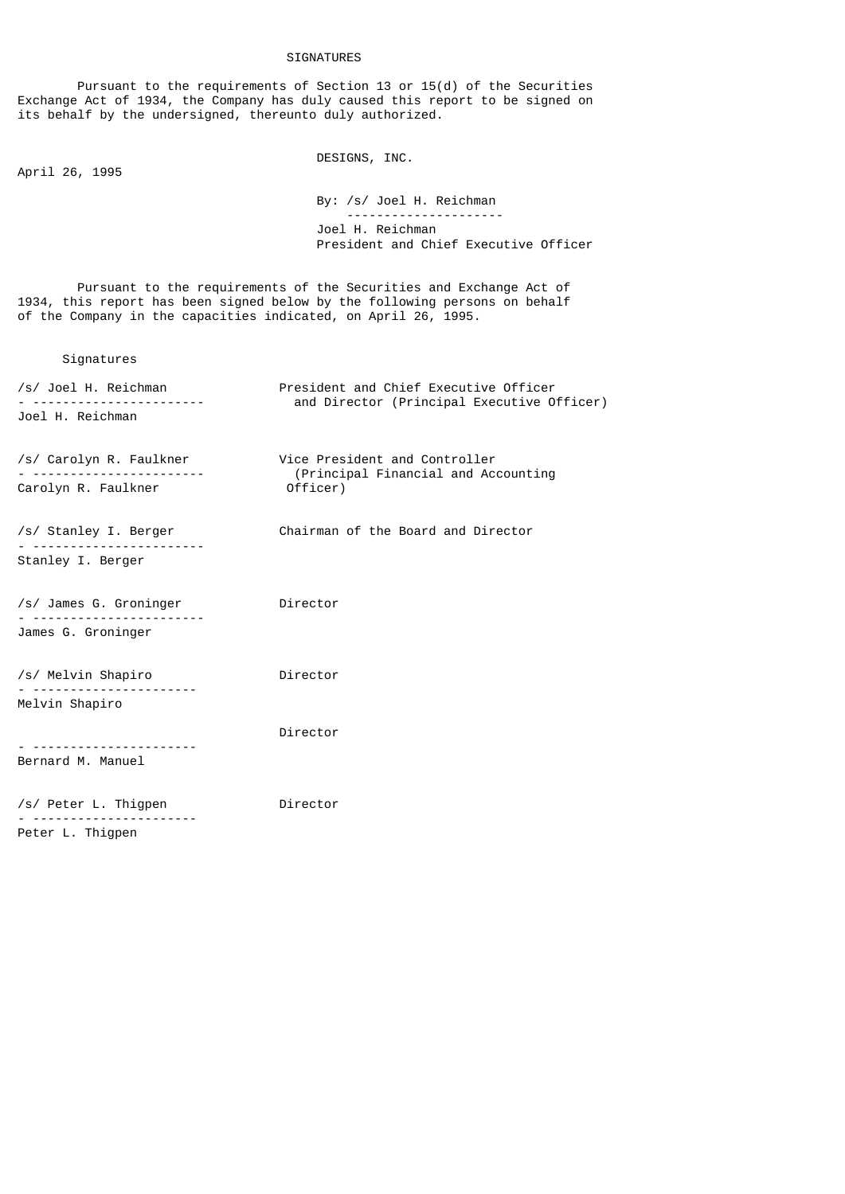# SIGNATURES

 Pursuant to the requirements of Section 13 or 15(d) of the Securities Exchange Act of 1934, the Company has duly caused this report to be signed on its behalf by the undersigned, thereunto duly authorized.

April 26, 1995

DESIGNS, INC.

 By: /s/ Joel H. Reichman --------------------- Joel H. Reichman President and Chief Executive Officer

 Pursuant to the requirements of the Securities and Exchange Act of 1934, this report has been signed below by the following persons on behalf of the Company in the capacities indicated, on April 26, 1995.

# Signatures

| /s/ Joel H. Reichman<br>Joel H. Reichman | President and Chief Executive Officer<br>and Director (Principal Executive Officer) |  |  |  |
|------------------------------------------|-------------------------------------------------------------------------------------|--|--|--|
| /s/ Carolyn R. Faulkner<br>.             | Vice President and Controller<br>(Principal Financial and Accounting                |  |  |  |
| Carolyn R. Faulkner                      | Officer)                                                                            |  |  |  |
| /s/ Stanley I. Berger                    | Chairman of the Board and Director                                                  |  |  |  |
| Stanley I. Berger                        |                                                                                     |  |  |  |
| /s/ James G. Groninger                   | Director                                                                            |  |  |  |
| James G. Groninger                       |                                                                                     |  |  |  |
| /s/ Melvin Shapiro                       | Director                                                                            |  |  |  |
| Melvin Shapiro                           |                                                                                     |  |  |  |
|                                          | Director                                                                            |  |  |  |
| Bernard M. Manuel                        |                                                                                     |  |  |  |
| /s/ Peter L. Thigpen<br>Peter L. Thigpen | Director                                                                            |  |  |  |
|                                          |                                                                                     |  |  |  |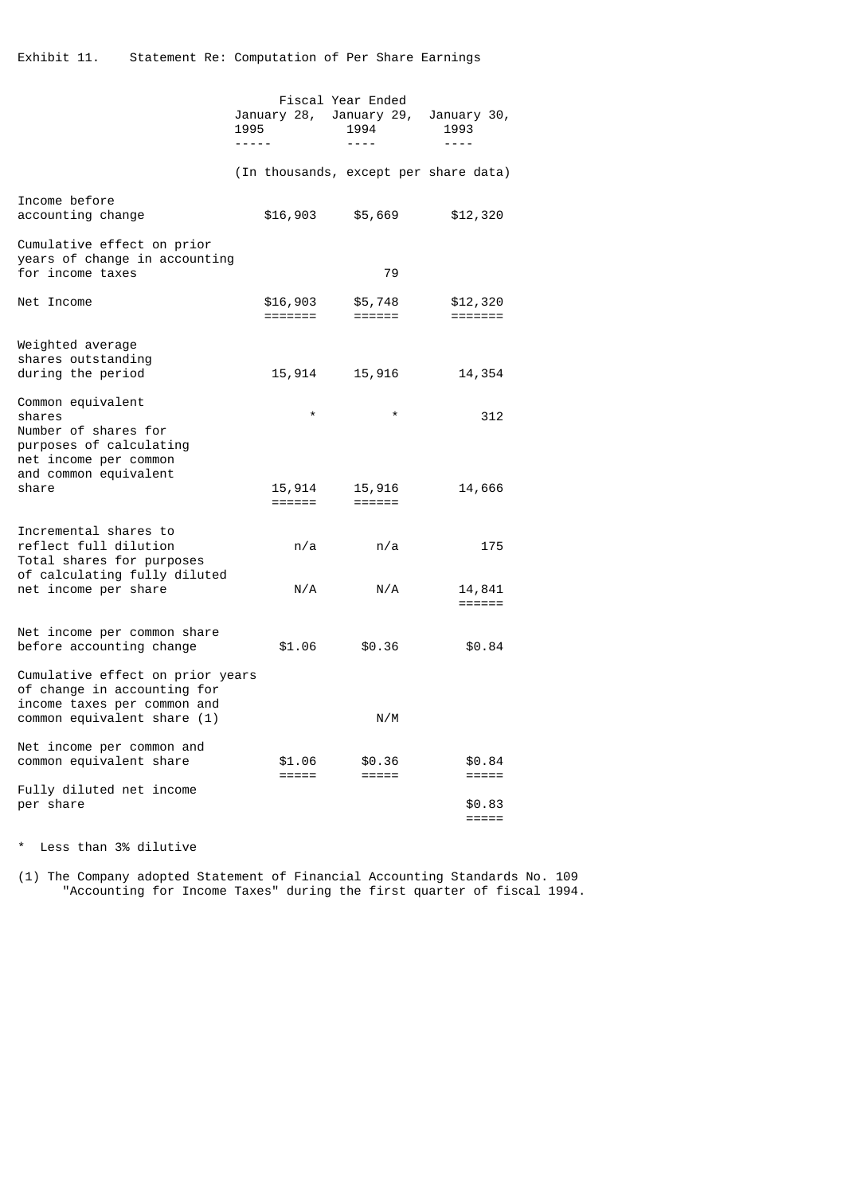|                                                                                                                               | January 28,  January 29,<br>1995<br>----- |                     | Fiscal Year Ended<br>1994<br>$- - - -$ | January 30,<br>1993<br>$- - - -$        |
|-------------------------------------------------------------------------------------------------------------------------------|-------------------------------------------|---------------------|----------------------------------------|-----------------------------------------|
|                                                                                                                               |                                           |                     | (In thousands, except per share data)  |                                         |
| Income before<br>accounting change                                                                                            |                                           | \$16,903            | \$5,669                                | \$12,320                                |
| Cumulative effect on prior<br>years of change in accounting<br>for income taxes                                               |                                           |                     | 79                                     |                                         |
| Net Income                                                                                                                    |                                           | \$16,903<br>======= | \$5,748<br>$=$ $=$ $=$ $=$ $=$ $=$     | \$12,320<br>$=$ $=$ $=$ $=$ $=$ $=$ $=$ |
| Weighted average<br>shares outstanding<br>during the period                                                                   |                                           | 15,914              | 15,916                                 | 14,354                                  |
| Common equivalent<br>shares<br>Number of shares for<br>purposes of calculating<br>net income per common                       |                                           | $\star$             | $\star$                                | 312                                     |
| and common equivalent<br>share                                                                                                |                                           | 15,914<br>======    | 15,916<br>$=$ $=$ $=$ $=$ $=$ $=$      | 14,666                                  |
| Incremental shares to<br>reflect full dilution<br>Total shares for purposes                                                   |                                           | n/a                 | n/a                                    | 175                                     |
| of calculating fully diluted<br>net income per share                                                                          |                                           | N/A                 | N/A                                    | 14,841<br>======                        |
| Net income per common share<br>before accounting change                                                                       |                                           | \$1.06              | \$0.36                                 | \$0.84                                  |
| Cumulative effect on prior years<br>of change in accounting for<br>income taxes per common and<br>common equivalent share (1) |                                           |                     | N/M                                    |                                         |
| Net income per common and<br>common equivalent share                                                                          |                                           | \$1.06<br>$=====$   | \$0.36<br>$=====$                      | \$0.84<br>$=====$                       |
| Fully diluted net income<br>per share                                                                                         |                                           |                     |                                        | \$0.83<br>$=====$                       |

\* Less than 3% dilutive

(1) The Company adopted Statement of Financial Accounting Standards No. 109 "Accounting for Income Taxes" during the first quarter of fiscal 1994.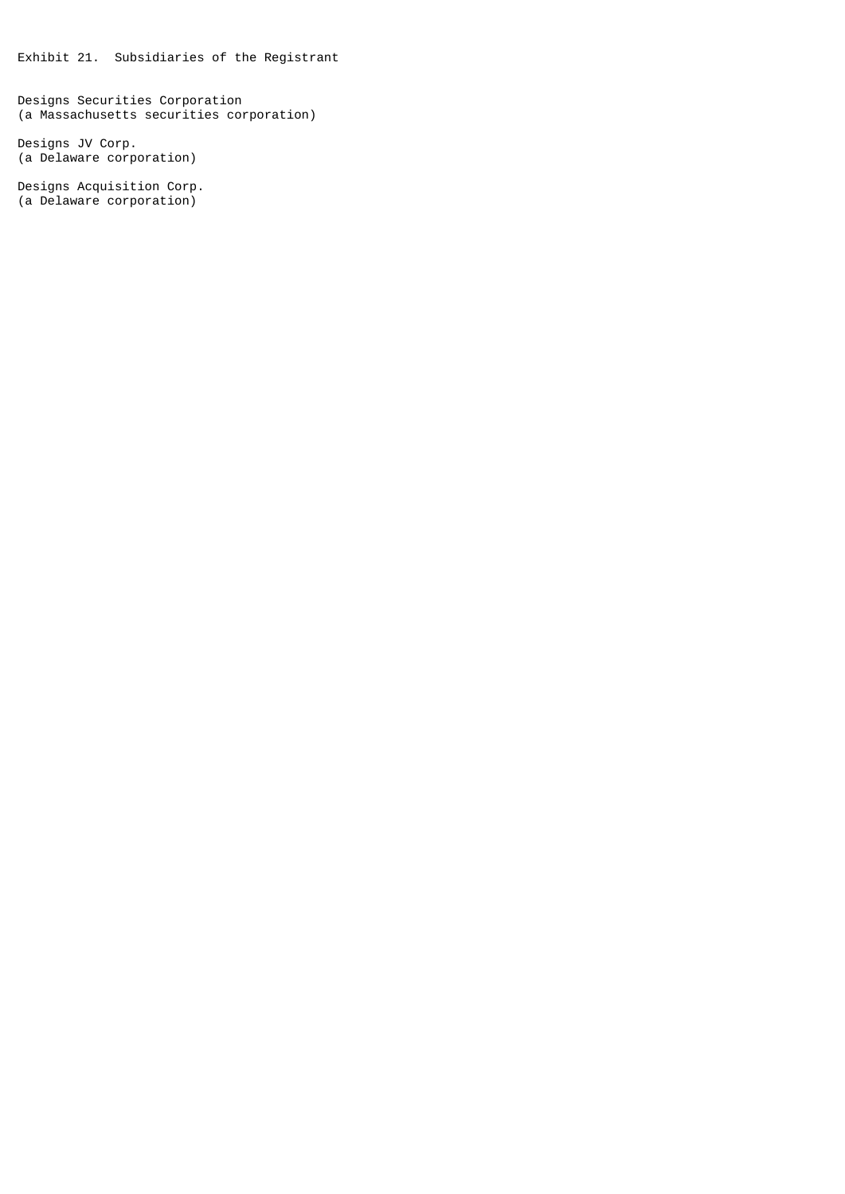Exhibit 21. Subsidiaries of the Registrant

Designs Securities Corporation (a Massachusetts securities corporation)

Designs JV Corp. (a Delaware corporation)

Designs Acquisition Corp. (a Delaware corporation)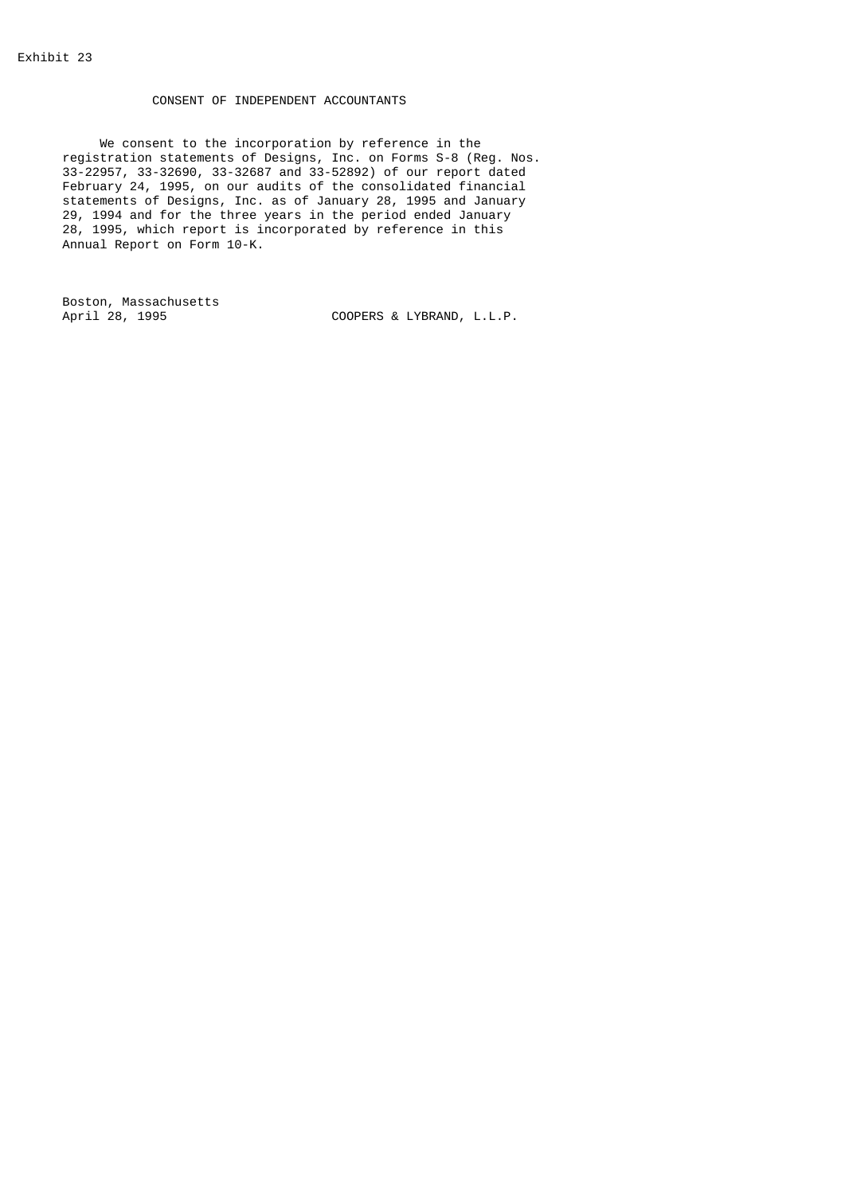# CONSENT OF INDEPENDENT ACCOUNTANTS

 We consent to the incorporation by reference in the registration statements of Designs, Inc. on Forms S-8 (Reg. Nos. 33-22957, 33-32690, 33-32687 and 33-52892) of our report dated February 24, 1995, on our audits of the consolidated financial statements of Designs, Inc. as of January 28, 1995 and January 29, 1994 and for the three years in the period ended January 28, 1995, which report is incorporated by reference in this Annual Report on Form 10-K.

Boston, Massachusetts

COOPERS & LYBRAND, L.L.P.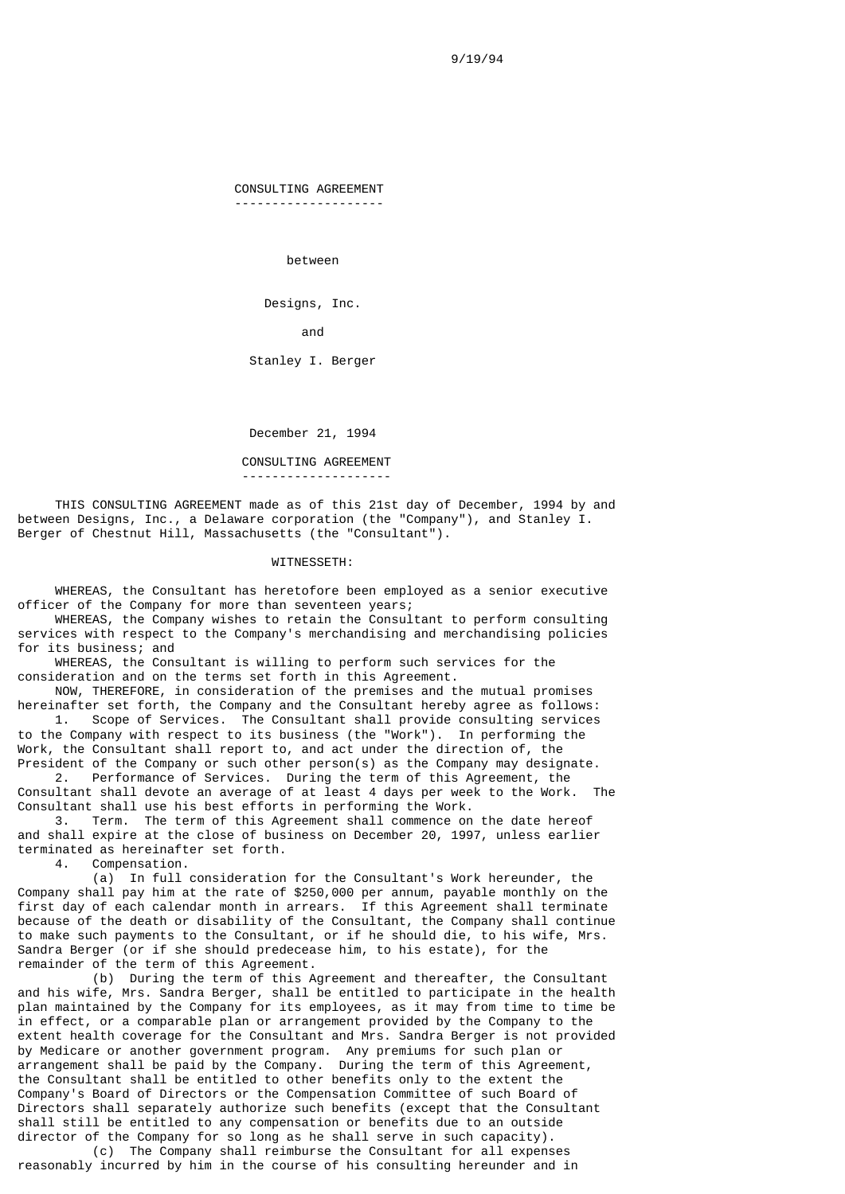9/19/94

CONSULTING AGREEMENT

--------------------

between

Designs, Inc.

and the contract of the contract of the contract of the contract of the contract of the contract of the contract of the contract of the contract of the contract of the contract of the contract of the contract of the contra

Stanley I. Berger

December 21, 1994

CONSULTING AGREEMENT

--------------------

 THIS CONSULTING AGREEMENT made as of this 21st day of December, 1994 by and between Designs, Inc., a Delaware corporation (the "Company"), and Stanley I. Berger of Chestnut Hill, Massachusetts (the "Consultant").

### WITNESSETH:

 WHEREAS, the Consultant has heretofore been employed as a senior executive officer of the Company for more than seventeen years;

 WHEREAS, the Company wishes to retain the Consultant to perform consulting services with respect to the Company's merchandising and merchandising policies for its business; and

 WHEREAS, the Consultant is willing to perform such services for the consideration and on the terms set forth in this Agreement.

 NOW, THEREFORE, in consideration of the premises and the mutual promises hereinafter set forth, the Company and the Consultant hereby agree as follows: 1. Scope of Services. The Consultant shall provide consulting services to the Company with respect to its business (the "Work"). In performing the Work, the Consultant shall report to, and act under the direction of, the

President of the Company or such other person(s) as the Company may designate. 2. Performance of Services. During the term of this Agreement, the

Consultant shall devote an average of at least 4 days per week to the Work. The Consultant shall use his best efforts in performing the Work.

 3. Term. The term of this Agreement shall commence on the date hereof and shall expire at the close of business on December 20, 1997, unless earlier terminated as hereinafter set forth.

4. Compensation.

 (a) In full consideration for the Consultant's Work hereunder, the Company shall pay him at the rate of \$250,000 per annum, payable monthly on the first day of each calendar month in arrears. If this Agreement shall terminate because of the death or disability of the Consultant, the Company shall continue to make such payments to the Consultant, or if he should die, to his wife, Mrs. Sandra Berger (or if she should predecease him, to his estate), for the remainder of the term of this Agreement.

 (b) During the term of this Agreement and thereafter, the Consultant and his wife, Mrs. Sandra Berger, shall be entitled to participate in the health plan maintained by the Company for its employees, as it may from time to time be in effect, or a comparable plan or arrangement provided by the Company to the extent health coverage for the Consultant and Mrs. Sandra Berger is not provided by Medicare or another government program. Any premiums for such plan or arrangement shall be paid by the Company. During the term of this Agreement, the Consultant shall be entitled to other benefits only to the extent the Company's Board of Directors or the Compensation Committee of such Board of Directors shall separately authorize such benefits (except that the Consultant shall still be entitled to any compensation or benefits due to an outside director of the Company for so long as he shall serve in such capacity).

 (c) The Company shall reimburse the Consultant for all expenses reasonably incurred by him in the course of his consulting hereunder and in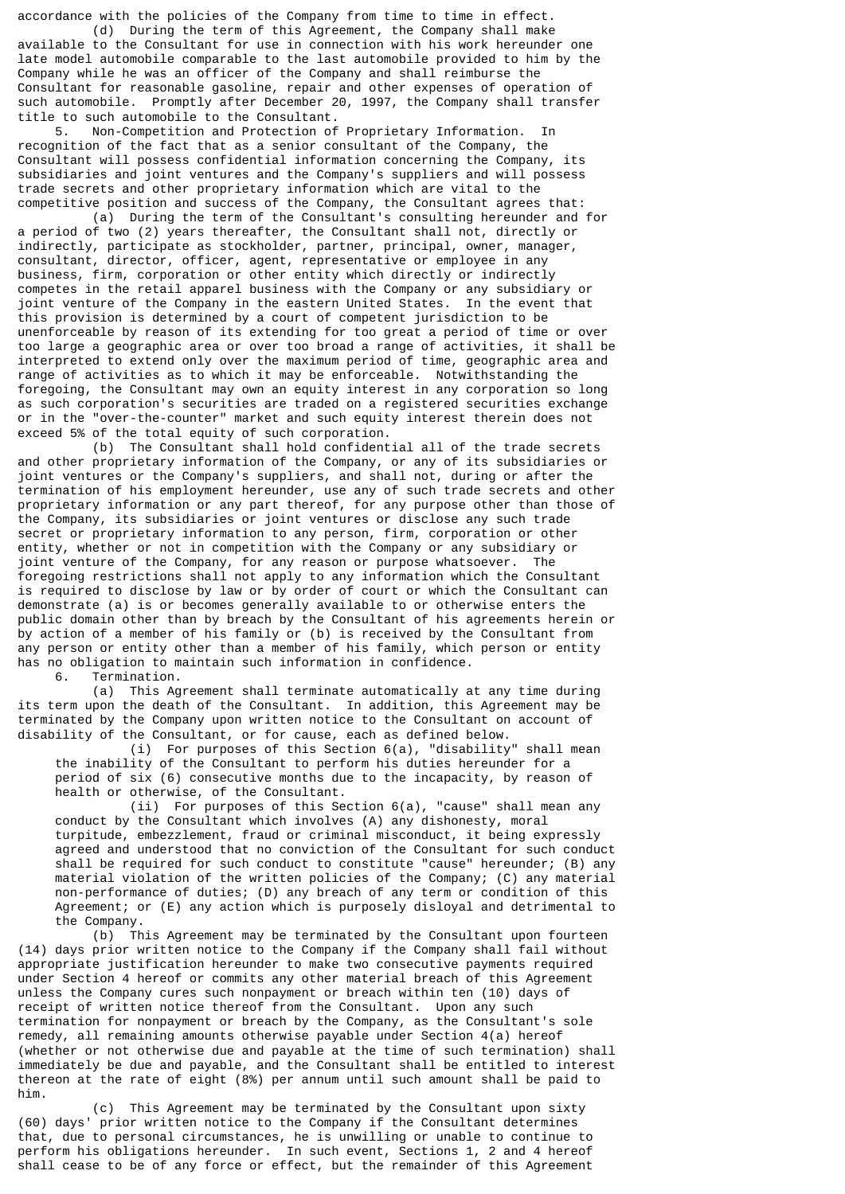accordance with the policies of the Company from time to time in effect. (d) During the term of this Agreement, the Company shall make

available to the Consultant for use in connection with his work hereunder one late model automobile comparable to the last automobile provided to him by the Company while he was an officer of the Company and shall reimburse the Consultant for reasonable gasoline, repair and other expenses of operation of such automobile. Promptly after December 20, 1997, the Company shall transfer title to such automobile to the Consultant.<br>5. Non-Competition and Protection of

 5. Non-Competition and Protection of Proprietary Information. In recognition of the fact that as a senior consultant of the Company, the Consultant will possess confidential information concerning the Company, its subsidiaries and joint ventures and the Company's suppliers and will possess trade secrets and other proprietary information which are vital to the competitive position and success of the Company, the Consultant agrees that:

 (a) During the term of the Consultant's consulting hereunder and for a period of two (2) years thereafter, the Consultant shall not, directly or indirectly, participate as stockholder, partner, principal, owner, manager, consultant, director, officer, agent, representative or employee in any business, firm, corporation or other entity which directly or indirectly competes in the retail apparel business with the Company or any subsidiary or joint venture of the Company in the eastern United States. In the event that this provision is determined by a court of competent jurisdiction to be unenforceable by reason of its extending for too great a period of time or over too large a geographic area or over too broad a range of activities, it shall be interpreted to extend only over the maximum period of time, geographic area and range of activities as to which it may be enforceable. Notwithstanding the foregoing, the Consultant may own an equity interest in any corporation so long as such corporation's securities are traded on a registered securities exchange or in the "over-the-counter" market and such equity interest therein does not exceed 5% of the total equity of such corporation.

 (b) The Consultant shall hold confidential all of the trade secrets and other proprietary information of the Company, or any of its subsidiaries or joint ventures or the Company's suppliers, and shall not, during or after the termination of his employment hereunder, use any of such trade secrets and other proprietary information or any part thereof, for any purpose other than those of the Company, its subsidiaries or joint ventures or disclose any such trade secret or proprietary information to any person, firm, corporation or other entity, whether or not in competition with the Company or any subsidiary or joint venture of the Company, for any reason or purpose whatsoever. The foregoing restrictions shall not apply to any information which the Consultant is required to disclose by law or by order of court or which the Consultant can demonstrate (a) is or becomes generally available to or otherwise enters the public domain other than by breach by the Consultant of his agreements herein or by action of a member of his family or (b) is received by the Consultant from any person or entity other than a member of his family, which person or entity has no obligation to maintain such information in confidence.

6. Termination.

 (a) This Agreement shall terminate automatically at any time during its term upon the death of the Consultant. In addition, this Agreement may be terminated by the Company upon written notice to the Consultant on account of disability of the Consultant, or for cause, each as defined below.

 (i) For purposes of this Section 6(a), "disability" shall mean the inability of the Consultant to perform his duties hereunder for a period of six (6) consecutive months due to the incapacity, by reason of health or otherwise, of the Consultant.

 (ii) For purposes of this Section 6(a), "cause" shall mean any conduct by the Consultant which involves (A) any dishonesty, moral turpitude, embezzlement, fraud or criminal misconduct, it being expressly agreed and understood that no conviction of the Consultant for such conduct shall be required for such conduct to constitute "cause" hereunder; (B) any material violation of the written policies of the Company; (C) any material non-performance of duties; (D) any breach of any term or condition of this Agreement; or (E) any action which is purposely disloyal and detrimental to the Company.

 (b) This Agreement may be terminated by the Consultant upon fourteen (14) days prior written notice to the Company if the Company shall fail without appropriate justification hereunder to make two consecutive payments required under Section 4 hereof or commits any other material breach of this Agreement unless the Company cures such nonpayment or breach within ten (10) days of receipt of written notice thereof from the Consultant. Upon any such termination for nonpayment or breach by the Company, as the Consultant's sole remedy, all remaining amounts otherwise payable under Section 4(a) hereof (whether or not otherwise due and payable at the time of such termination) shall immediately be due and payable, and the Consultant shall be entitled to interest thereon at the rate of eight (8%) per annum until such amount shall be paid to him.

 (c) This Agreement may be terminated by the Consultant upon sixty (60) days' prior written notice to the Company if the Consultant determines that, due to personal circumstances, he is unwilling or unable to continue to perform his obligations hereunder. In such event, Sections 1, 2 and 4 hereof shall cease to be of any force or effect, but the remainder of this Agreement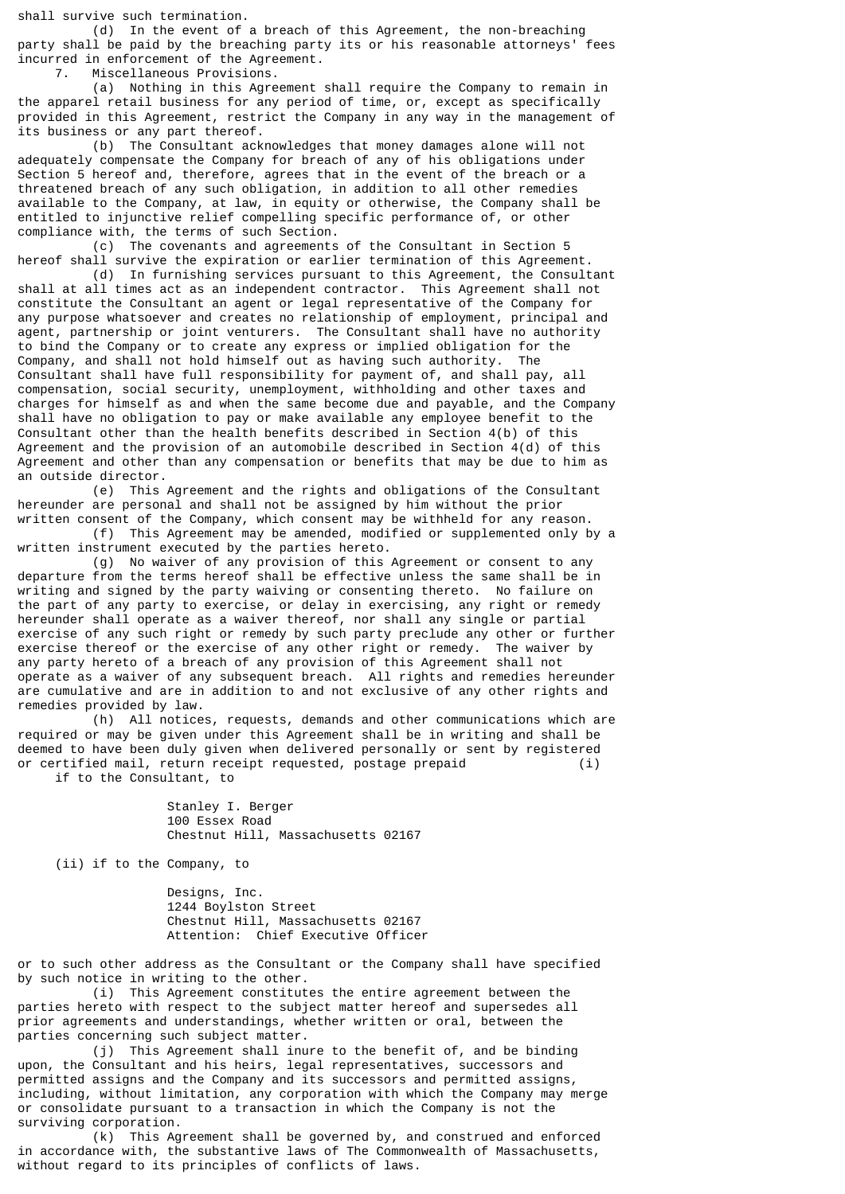shall survive such termination.

 (d) In the event of a breach of this Agreement, the non-breaching party shall be paid by the breaching party its or his reasonable attorneys' fees incurred in enforcement of the Agreement.

7. Miscellaneous Provisions.

 (a) Nothing in this Agreement shall require the Company to remain in the apparel retail business for any period of time, or, except as specifically provided in this Agreement, restrict the Company in any way in the management of its business or any part thereof.

 (b) The Consultant acknowledges that money damages alone will not adequately compensate the Company for breach of any of his obligations under Section 5 hereof and, therefore, agrees that in the event of the breach or a threatened breach of any such obligation, in addition to all other remedies available to the Company, at law, in equity or otherwise, the Company shall be entitled to injunctive relief compelling specific performance of, or other compliance with, the terms of such Section.

 (c) The covenants and agreements of the Consultant in Section 5 hereof shall survive the expiration or earlier termination of this Agreement.

 (d) In furnishing services pursuant to this Agreement, the Consultant shall at all times act as an independent contractor. This Agreement shall not constitute the Consultant an agent or legal representative of the Company for any purpose whatsoever and creates no relationship of employment, principal and agent, partnership or joint venturers. The Consultant shall have no authority to bind the Company or to create any express or implied obligation for the Company, and shall not hold himself out as having such authority. The Consultant shall have full responsibility for payment of, and shall pay, all compensation, social security, unemployment, withholding and other taxes and charges for himself as and when the same become due and payable, and the Company shall have no obligation to pay or make available any employee benefit to the Consultant other than the health benefits described in Section 4(b) of this Agreement and the provision of an automobile described in Section 4(d) of this Agreement and other than any compensation or benefits that may be due to him as an outside director.

 (e) This Agreement and the rights and obligations of the Consultant hereunder are personal and shall not be assigned by him without the prior written consent of the Company, which consent may be withheld for any reason.

 (f) This Agreement may be amended, modified or supplemented only by a written instrument executed by the parties hereto.

 (g) No waiver of any provision of this Agreement or consent to any departure from the terms hereof shall be effective unless the same shall be in writing and signed by the party waiving or consenting thereto. No failure on the part of any party to exercise, or delay in exercising, any right or remedy hereunder shall operate as a waiver thereof, nor shall any single or partial exercise of any such right or remedy by such party preclude any other or further exercise thereof or the exercise of any other right or remedy. The waiver by any party hereto of a breach of any provision of this Agreement shall not operate as a waiver of any subsequent breach. All rights and remedies hereunder are cumulative and are in addition to and not exclusive of any other rights and remedies provided by law.

 (h) All notices, requests, demands and other communications which are required or may be given under this Agreement shall be in writing and shall be deemed to have been duly given when delivered personally or sent by registered or certified mail, return receipt requested, postage prepaid (i) if to the Consultant, to

> Stanley I. Berger 100 Essex Road Chestnut Hill, Massachusetts 02167

(ii) if to the Company, to

 Designs, Inc. 1244 Boylston Street Chestnut Hill, Massachusetts 02167 Attention: Chief Executive Officer

or to such other address as the Consultant or the Company shall have specified by such notice in writing to the other.

 (i) This Agreement constitutes the entire agreement between the parties hereto with respect to the subject matter hereof and supersedes all prior agreements and understandings, whether written or oral, between the parties concerning such subject matter.

 (j) This Agreement shall inure to the benefit of, and be binding upon, the Consultant and his heirs, legal representatives, successors and permitted assigns and the Company and its successors and permitted assigns, including, without limitation, any corporation with which the Company may merge or consolidate pursuant to a transaction in which the Company is not the surviving corporation.

 (k) This Agreement shall be governed by, and construed and enforced in accordance with, the substantive laws of The Commonwealth of Massachusetts, without regard to its principles of conflicts of laws.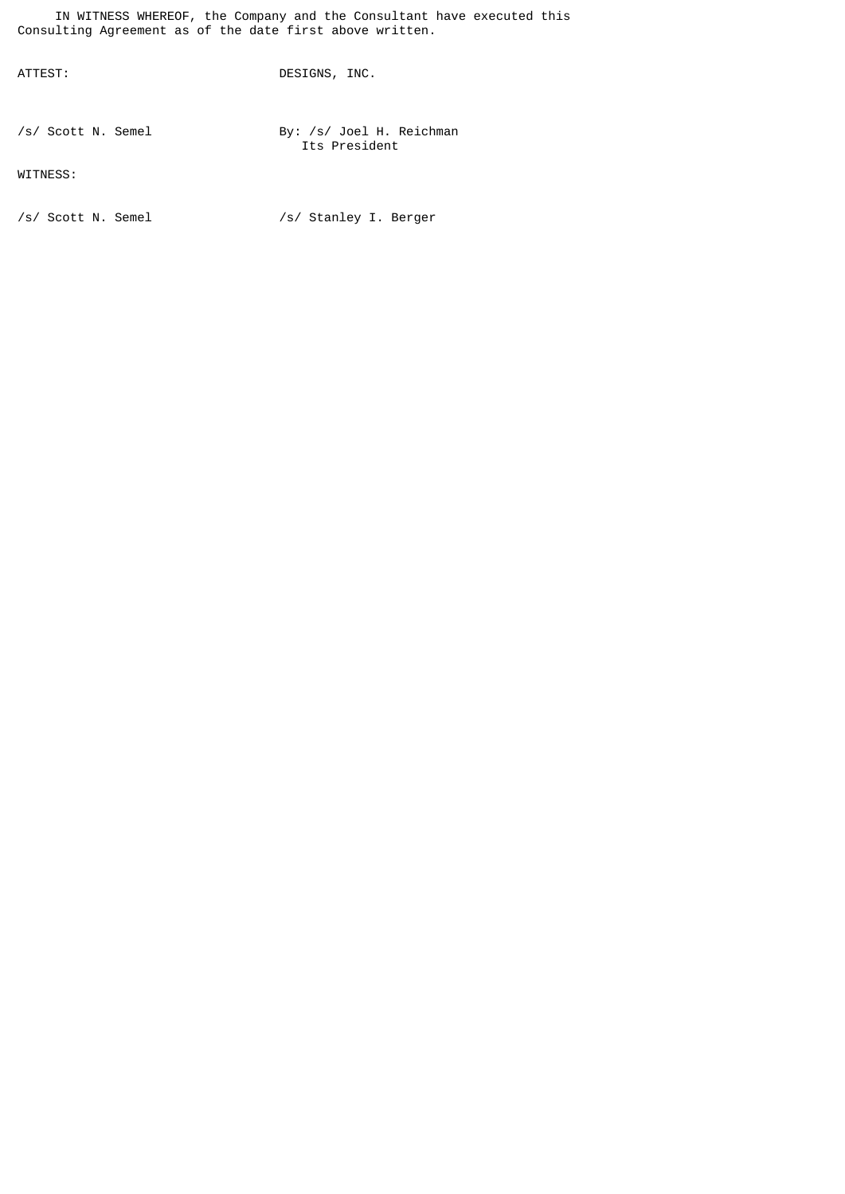IN WITNESS WHEREOF, the Company and the Consultant have executed this Consulting Agreement as of the date first above written.

ATTEST: DESIGNS, INC.

/s/ Scott N. Semel By: /s/ Joel H. Reichman Its President

WITNESS:

/s/ Scott N. Semel /s/ Stanley I. Berger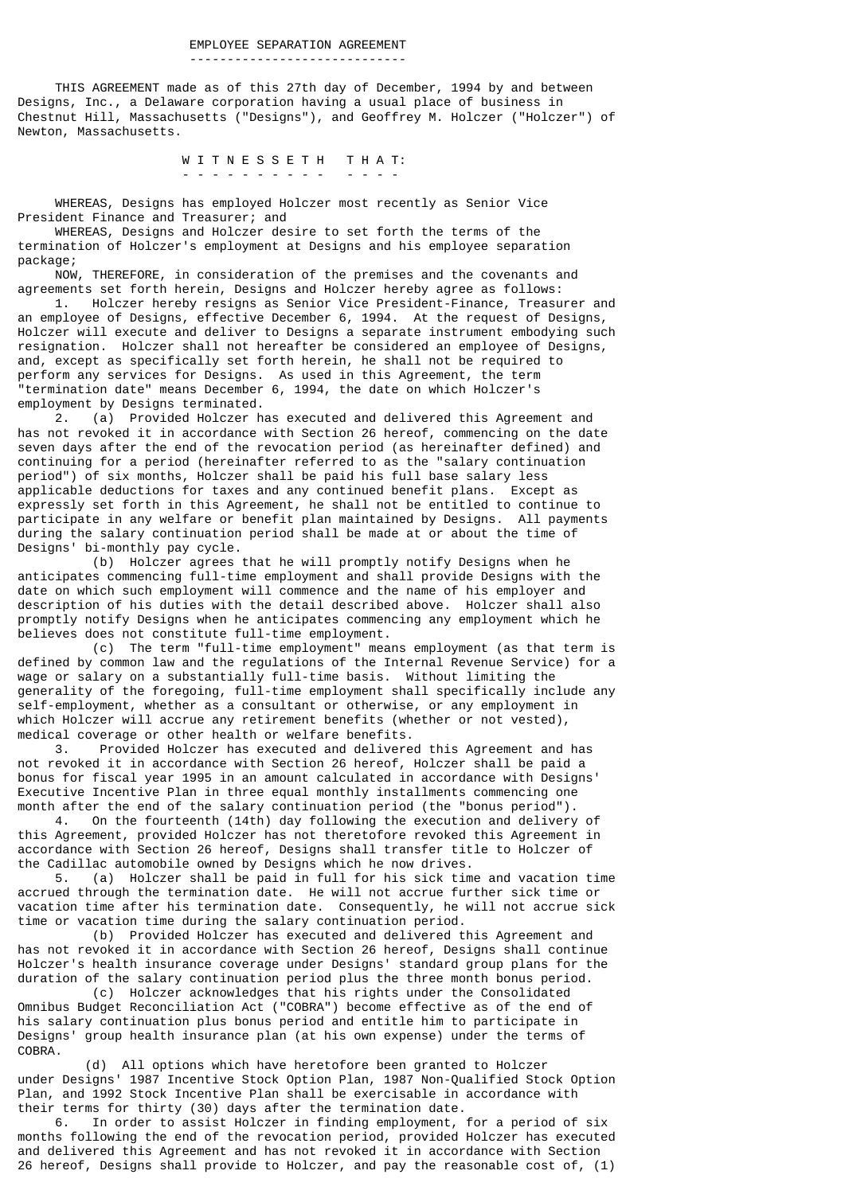-----------------------------

 THIS AGREEMENT made as of this 27th day of December, 1994 by and between Designs, Inc., a Delaware corporation having a usual place of business in Chestnut Hill, Massachusetts ("Designs"), and Geoffrey M. Holczer ("Holczer") of Newton, Massachusetts.

W I T N E S S E T H T H A T: - - - - - - - - - - - - - -

 WHEREAS, Designs has employed Holczer most recently as Senior Vice President Finance and Treasurer; and

 WHEREAS, Designs and Holczer desire to set forth the terms of the termination of Holczer's employment at Designs and his employee separation package;

 NOW, THEREFORE, in consideration of the premises and the covenants and agreements set forth herein, Designs and Holczer hereby agree as follows:

 1. Holczer hereby resigns as Senior Vice President-Finance, Treasurer and an employee of Designs, effective December 6, 1994. At the request of Designs, Holczer will execute and deliver to Designs a separate instrument embodying such resignation. Holczer shall not hereafter be considered an employee of Designs, and, except as specifically set forth herein, he shall not be required to perform any services for Designs. As used in this Agreement, the term "termination date" means December 6, 1994, the date on which Holczer's employment by Designs terminated.

 2. (a) Provided Holczer has executed and delivered this Agreement and has not revoked it in accordance with Section 26 hereof, commencing on the date seven days after the end of the revocation period (as hereinafter defined) and continuing for a period (hereinafter referred to as the "salary continuation period") of six months, Holczer shall be paid his full base salary less applicable deductions for taxes and any continued benefit plans. Except as expressly set forth in this Agreement, he shall not be entitled to continue to participate in any welfare or benefit plan maintained by Designs. All payments during the salary continuation period shall be made at or about the time of Designs' bi-monthly pay cycle.

 (b) Holczer agrees that he will promptly notify Designs when he anticipates commencing full-time employment and shall provide Designs with the date on which such employment will commence and the name of his employer and description of his duties with the detail described above. Holczer shall also promptly notify Designs when he anticipates commencing any employment which he believes does not constitute full-time employment.

 (c) The term "full-time employment" means employment (as that term is defined by common law and the regulations of the Internal Revenue Service) for a wage or salary on a substantially full-time basis. Without limiting the generality of the foregoing, full-time employment shall specifically include any self-employment, whether as a consultant or otherwise, or any employment in which Holczer will accrue any retirement benefits (whether or not vested), medical coverage or other health or welfare benefits.

 3. Provided Holczer has executed and delivered this Agreement and has not revoked it in accordance with Section 26 hereof, Holczer shall be paid a bonus for fiscal year 1995 in an amount calculated in accordance with Designs' Executive Incentive Plan in three equal monthly installments commencing one month after the end of the salary continuation period (the "bonus period").

 4. On the fourteenth (14th) day following the execution and delivery of this Agreement, provided Holczer has not theretofore revoked this Agreement in accordance with Section 26 hereof, Designs shall transfer title to Holczer of the Cadillac automobile owned by Designs which he now drives.

 5. (a) Holczer shall be paid in full for his sick time and vacation time accrued through the termination date. He will not accrue further sick time or vacation time after his termination date. Consequently, he will not accrue sick time or vacation time during the salary continuation period.

 (b) Provided Holczer has executed and delivered this Agreement and has not revoked it in accordance with Section 26 hereof, Designs shall continue Holczer's health insurance coverage under Designs' standard group plans for the duration of the salary continuation period plus the three month bonus period.

 (c) Holczer acknowledges that his rights under the Consolidated Omnibus Budget Reconciliation Act ("COBRA") become effective as of the end of his salary continuation plus bonus period and entitle him to participate in Designs' group health insurance plan (at his own expense) under the terms of COBRA.

 (d) All options which have heretofore been granted to Holczer under Designs' 1987 Incentive Stock Option Plan, 1987 Non-Qualified Stock Option Plan, and 1992 Stock Incentive Plan shall be exercisable in accordance with their terms for thirty (30) days after the termination date.

 6. In order to assist Holczer in finding employment, for a period of six months following the end of the revocation period, provided Holczer has executed and delivered this Agreement and has not revoked it in accordance with Section 26 hereof, Designs shall provide to Holczer, and pay the reasonable cost of, (1)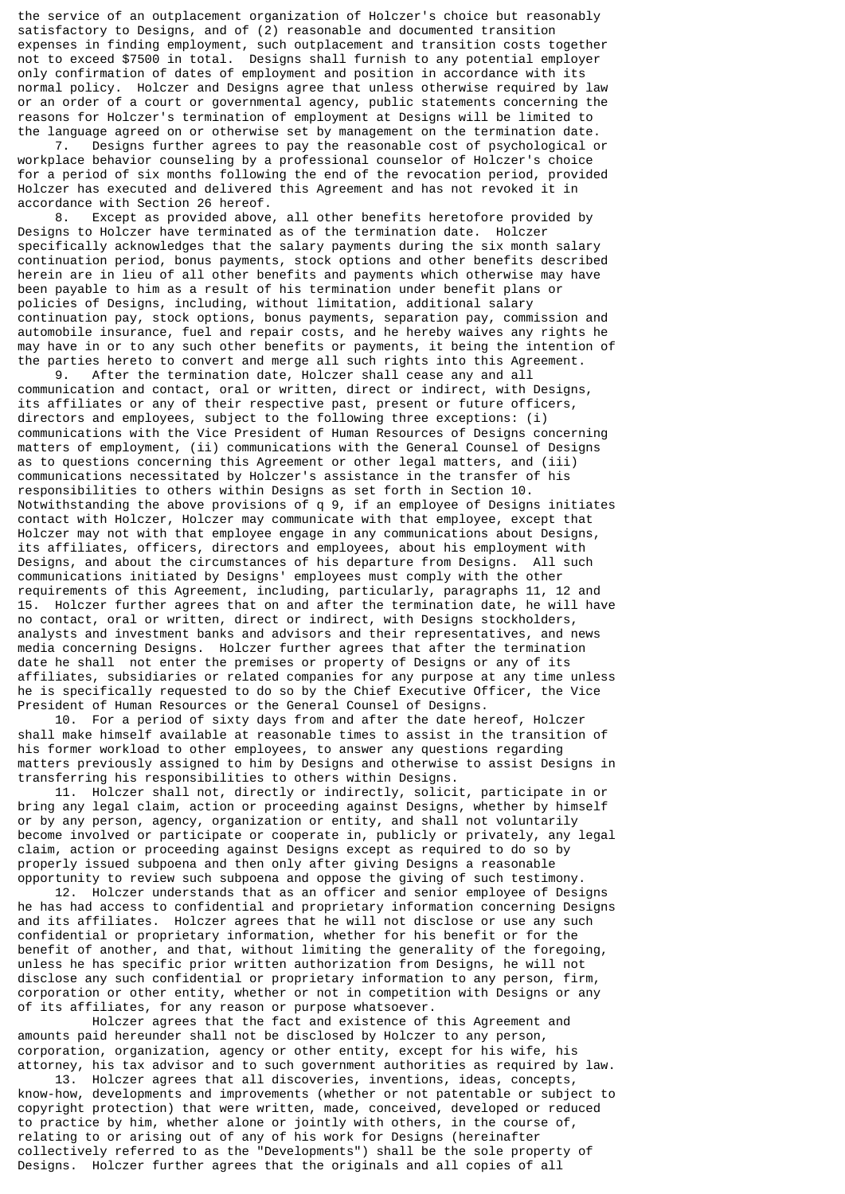the service of an outplacement organization of Holczer's choice but reasonably satisfactory to Designs, and of (2) reasonable and documented transition expenses in finding employment, such outplacement and transition costs together not to exceed \$7500 in total. Designs shall furnish to any potential employer only confirmation of dates of employment and position in accordance with its normal policy. Holczer and Designs agree that unless otherwise required by law or an order of a court or governmental agency, public statements concerning the reasons for Holczer's termination of employment at Designs will be limited to the language agreed on or otherwise set by management on the termination date.

 7. Designs further agrees to pay the reasonable cost of psychological or workplace behavior counseling by a professional counselor of Holczer's choice for a period of six months following the end of the revocation period, provided Holczer has executed and delivered this Agreement and has not revoked it in accordance with Section 26 hereof.

 8. Except as provided above, all other benefits heretofore provided by Designs to Holczer have terminated as of the termination date. Holczer specifically acknowledges that the salary payments during the six month salary continuation period, bonus payments, stock options and other benefits described herein are in lieu of all other benefits and payments which otherwise may have been payable to him as a result of his termination under benefit plans or policies of Designs, including, without limitation, additional salary continuation pay, stock options, bonus payments, separation pay, commission and automobile insurance, fuel and repair costs, and he hereby waives any rights he may have in or to any such other benefits or payments, it being the intention of the parties hereto to convert and merge all such rights into this Agreement.

 9. After the termination date, Holczer shall cease any and all communication and contact, oral or written, direct or indirect, with Designs, its affiliates or any of their respective past, present or future officers, directors and employees, subject to the following three exceptions: (i) communications with the Vice President of Human Resources of Designs concerning matters of employment, (ii) communications with the General Counsel of Designs as to questions concerning this Agreement or other legal matters, and (iii) communications necessitated by Holczer's assistance in the transfer of his responsibilities to others within Designs as set forth in Section 10. Notwithstanding the above provisions of q 9, if an employee of Designs initiates contact with Holczer, Holczer may communicate with that employee, except that Holczer may not with that employee engage in any communications about Designs, its affiliates, officers, directors and employees, about his employment with Designs, and about the circumstances of his departure from Designs. All such communications initiated by Designs' employees must comply with the other requirements of this Agreement, including, particularly, paragraphs 11, 12 and 15. Holczer further agrees that on and after the termination date, he will have no contact, oral or written, direct or indirect, with Designs stockholders, analysts and investment banks and advisors and their representatives, and news media concerning Designs. Holczer further agrees that after the termination date he shall not enter the premises or property of Designs or any of its affiliates, subsidiaries or related companies for any purpose at any time unless he is specifically requested to do so by the Chief Executive Officer, the Vice President of Human Resources or the General Counsel of Designs.

 10. For a period of sixty days from and after the date hereof, Holczer shall make himself available at reasonable times to assist in the transition of his former workload to other employees, to answer any questions regarding matters previously assigned to him by Designs and otherwise to assist Designs in transferring his responsibilities to others within Designs.

 11. Holczer shall not, directly or indirectly, solicit, participate in or bring any legal claim, action or proceeding against Designs, whether by himself or by any person, agency, organization or entity, and shall not voluntarily become involved or participate or cooperate in, publicly or privately, any legal claim, action or proceeding against Designs except as required to do so by properly issued subpoena and then only after giving Designs a reasonable opportunity to review such subpoena and oppose the giving of such testimony.

 12. Holczer understands that as an officer and senior employee of Designs he has had access to confidential and proprietary information concerning Designs and its affiliates. Holczer agrees that he will not disclose or use any such confidential or proprietary information, whether for his benefit or for the benefit of another, and that, without limiting the generality of the foregoing, unless he has specific prior written authorization from Designs, he will not disclose any such confidential or proprietary information to any person, firm, corporation or other entity, whether or not in competition with Designs or any of its affiliates, for any reason or purpose whatsoever.

 Holczer agrees that the fact and existence of this Agreement and amounts paid hereunder shall not be disclosed by Holczer to any person, corporation, organization, agency or other entity, except for his wife, his attorney, his tax advisor and to such government authorities as required by law.

 13. Holczer agrees that all discoveries, inventions, ideas, concepts, know-how, developments and improvements (whether or not patentable or subject to copyright protection) that were written, made, conceived, developed or reduced to practice by him, whether alone or jointly with others, in the course of, relating to or arising out of any of his work for Designs (hereinafter collectively referred to as the "Developments") shall be the sole property of Designs. Holczer further agrees that the originals and all copies of all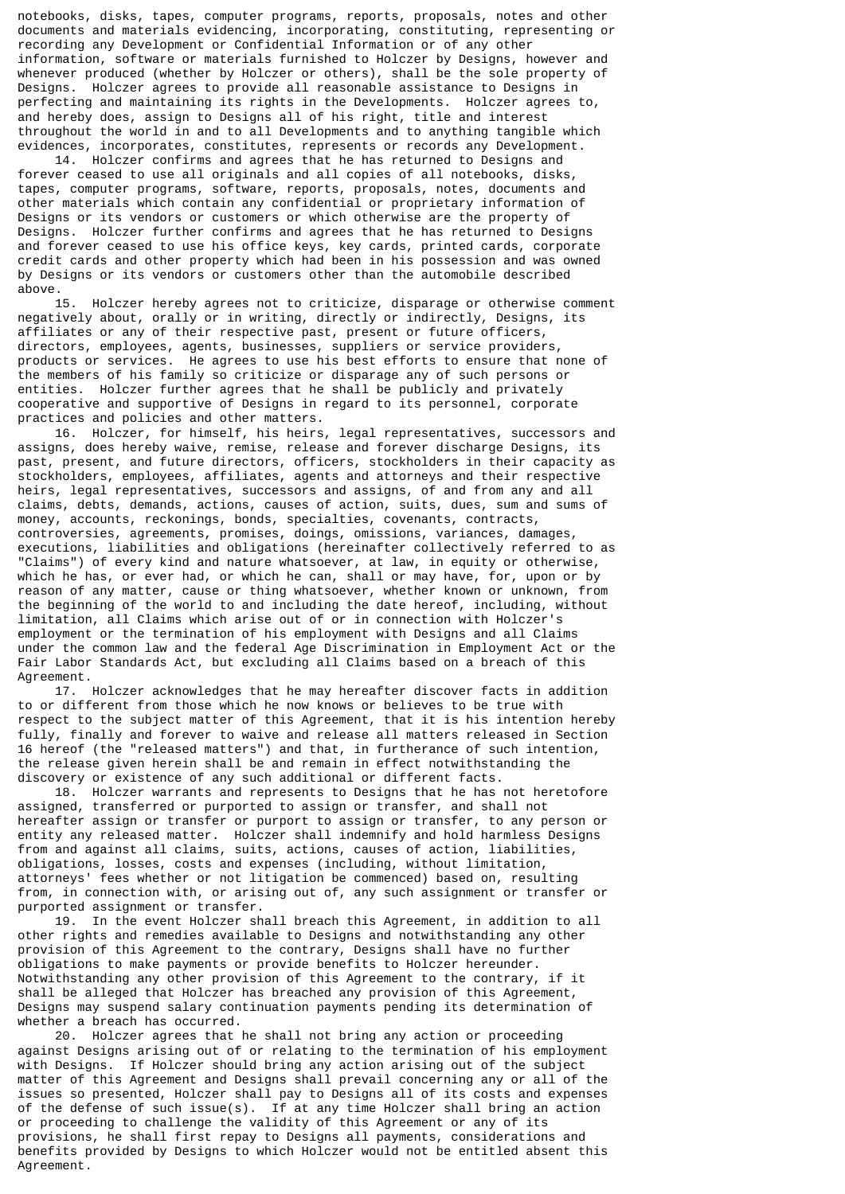notebooks, disks, tapes, computer programs, reports, proposals, notes and other documents and materials evidencing, incorporating, constituting, representing or recording any Development or Confidential Information or of any other information, software or materials furnished to Holczer by Designs, however and whenever produced (whether by Holczer or others), shall be the sole property of Designs. Holczer agrees to provide all reasonable assistance to Designs in perfecting and maintaining its rights in the Developments. Holczer agrees to, and hereby does, assign to Designs all of his right, title and interest throughout the world in and to all Developments and to anything tangible which evidences, incorporates, constitutes, represents or records any Development.

 14. Holczer confirms and agrees that he has returned to Designs and forever ceased to use all originals and all copies of all notebooks, disks, tapes, computer programs, software, reports, proposals, notes, documents and other materials which contain any confidential or proprietary information of Designs or its vendors or customers or which otherwise are the property of Designs. Holczer further confirms and agrees that he has returned to Designs and forever ceased to use his office keys, key cards, printed cards, corporate credit cards and other property which had been in his possession and was owned by Designs or its vendors or customers other than the automobile described above.<br>15.

Holczer hereby agrees not to criticize, disparage or otherwise comment negatively about, orally or in writing, directly or indirectly, Designs, its affiliates or any of their respective past, present or future officers, directors, employees, agents, businesses, suppliers or service providers, products or services. He agrees to use his best efforts to ensure that none of the members of his family so criticize or disparage any of such persons or entities. Holczer further agrees that he shall be publicly and privately cooperative and supportive of Designs in regard to its personnel, corporate practices and policies and other matters.

 16. Holczer, for himself, his heirs, legal representatives, successors and assigns, does hereby waive, remise, release and forever discharge Designs, its past, present, and future directors, officers, stockholders in their capacity as stockholders, employees, affiliates, agents and attorneys and their respective heirs, legal representatives, successors and assigns, of and from any and all claims, debts, demands, actions, causes of action, suits, dues, sum and sums of money, accounts, reckonings, bonds, specialties, covenants, contracts, controversies, agreements, promises, doings, omissions, variances, damages, executions, liabilities and obligations (hereinafter collectively referred to as "Claims") of every kind and nature whatsoever, at law, in equity or otherwise, which he has, or ever had, or which he can, shall or may have, for, upon or by reason of any matter, cause or thing whatsoever, whether known or unknown, from the beginning of the world to and including the date hereof, including, without limitation, all Claims which arise out of or in connection with Holczer's employment or the termination of his employment with Designs and all Claims under the common law and the federal Age Discrimination in Employment Act or the Fair Labor Standards Act, but excluding all Claims based on a breach of this Agreement.

 17. Holczer acknowledges that he may hereafter discover facts in addition to or different from those which he now knows or believes to be true with respect to the subject matter of this Agreement, that it is his intention hereby fully, finally and forever to waive and release all matters released in Section 16 hereof (the "released matters") and that, in furtherance of such intention, the release given herein shall be and remain in effect notwithstanding the discovery or existence of any such additional or different facts.

 18. Holczer warrants and represents to Designs that he has not heretofore assigned, transferred or purported to assign or transfer, and shall not hereafter assign or transfer or purport to assign or transfer, to any person or entity any released matter. Holczer shall indemnify and hold harmless Designs from and against all claims, suits, actions, causes of action, liabilities, obligations, losses, costs and expenses (including, without limitation, attorneys' fees whether or not litigation be commenced) based on, resulting from, in connection with, or arising out of, any such assignment or transfer or purported assignment or transfer.

 19. In the event Holczer shall breach this Agreement, in addition to all other rights and remedies available to Designs and notwithstanding any other provision of this Agreement to the contrary, Designs shall have no further obligations to make payments or provide benefits to Holczer hereunder. Notwithstanding any other provision of this Agreement to the contrary, if it shall be alleged that Holczer has breached any provision of this Agreement, Designs may suspend salary continuation payments pending its determination of whether a breach has occurred.

 20. Holczer agrees that he shall not bring any action or proceeding against Designs arising out of or relating to the termination of his employment with Designs. If Holczer should bring any action arising out of the subject matter of this Agreement and Designs shall prevail concerning any or all of the issues so presented, Holczer shall pay to Designs all of its costs and expenses of the defense of such issue(s). If at any time Holczer shall bring an action or proceeding to challenge the validity of this Agreement or any of its provisions, he shall first repay to Designs all payments, considerations and benefits provided by Designs to which Holczer would not be entitled absent this Agreement.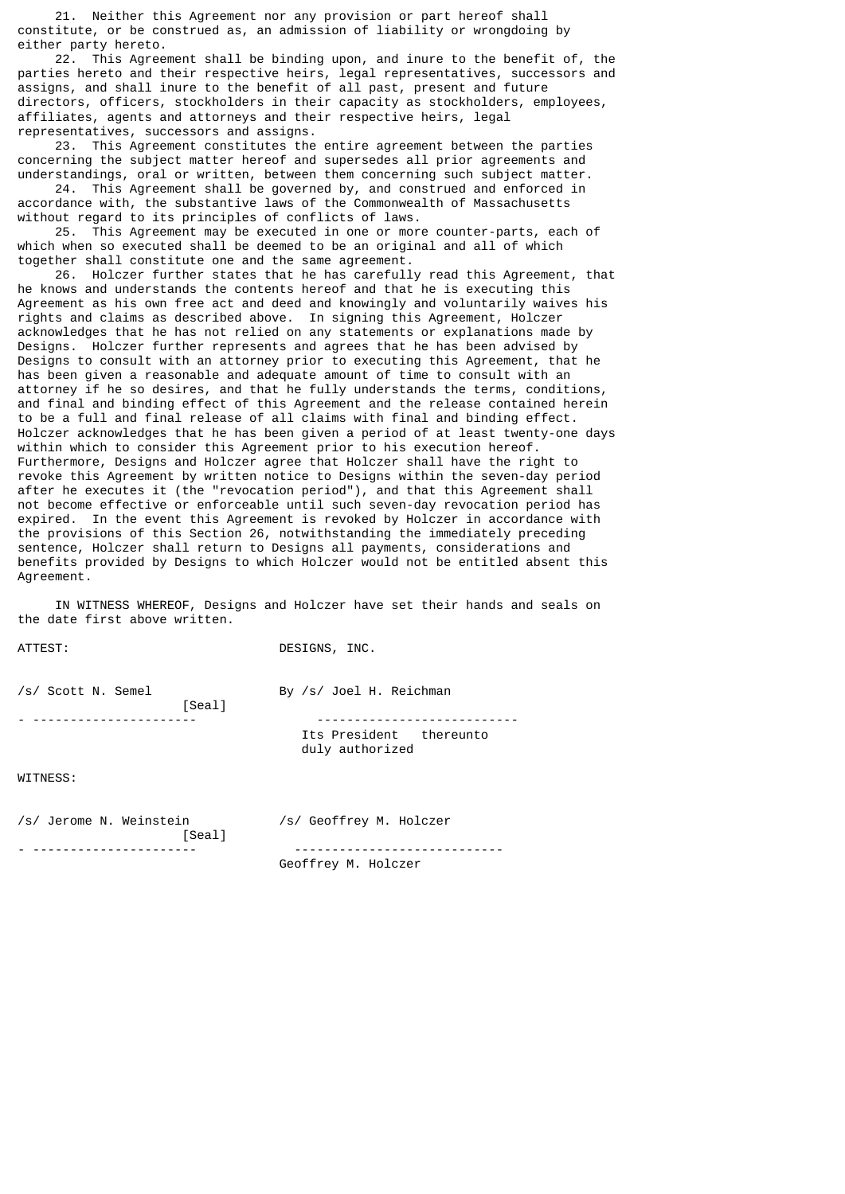21. Neither this Agreement nor any provision or part hereof shall constitute, or be construed as, an admission of liability or wrongdoing by either party hereto.

 22. This Agreement shall be binding upon, and inure to the benefit of, the parties hereto and their respective heirs, legal representatives, successors and assigns, and shall inure to the benefit of all past, present and future directors, officers, stockholders in their capacity as stockholders, employees, affiliates, agents and attorneys and their respective heirs, legal representatives, successors and assigns.

 23. This Agreement constitutes the entire agreement between the parties concerning the subject matter hereof and supersedes all prior agreements and understandings, oral or written, between them concerning such subject matter.

 24. This Agreement shall be governed by, and construed and enforced in accordance with, the substantive laws of the Commonwealth of Massachusetts without regard to its principles of conflicts of laws.

 25. This Agreement may be executed in one or more counter-parts, each of which when so executed shall be deemed to be an original and all of which together shall constitute one and the same agreement.

 26. Holczer further states that he has carefully read this Agreement, that he knows and understands the contents hereof and that he is executing this Agreement as his own free act and deed and knowingly and voluntarily waives his rights and claims as described above. In signing this Agreement, Holczer acknowledges that he has not relied on any statements or explanations made by Designs. Holczer further represents and agrees that he has been advised by Designs to consult with an attorney prior to executing this Agreement, that he has been given a reasonable and adequate amount of time to consult with an attorney if he so desires, and that he fully understands the terms, conditions, and final and binding effect of this Agreement and the release contained herein to be a full and final release of all claims with final and binding effect. Holczer acknowledges that he has been given a period of at least twenty-one days within which to consider this Agreement prior to his execution hereof. Furthermore, Designs and Holczer agree that Holczer shall have the right to revoke this Agreement by written notice to Designs within the seven-day period after he executes it (the "revocation period"), and that this Agreement shall not become effective or enforceable until such seven-day revocation period has expired. In the event this Agreement is revoked by Holczer in accordance with the provisions of this Section 26, notwithstanding the immediately preceding sentence, Holczer shall return to Designs all payments, considerations and benefits provided by Designs to which Holczer would not be entitled absent this Agreement.

 IN WITNESS WHEREOF, Designs and Holczer have set their hands and seals on the date first above written.

ATTEST: DESIGNS, INC.

| /s/ Scott N. Semel | [Seal] | By /s/ Joel H. Reichman                    |  |  |
|--------------------|--------|--------------------------------------------|--|--|
|                    |        | Its President thereunto<br>duly authorized |  |  |
| <b>WITNECC.</b>    |        |                                            |  |  |

WITNESS:

/s/ Jerome N. Weinstein /s/ Geoffrey M. Holczer [Seal]

- ---------------------- ----------------------------

Geoffrey M. Holczer